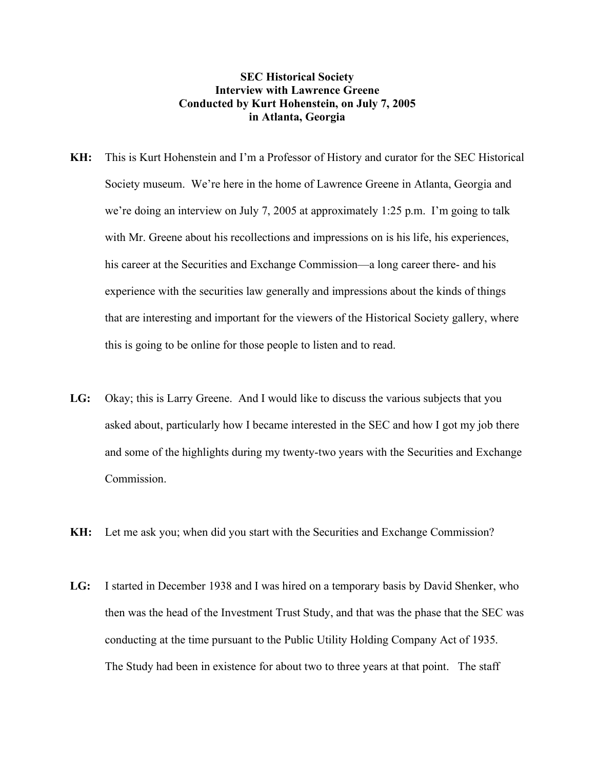## **SEC Historical Society Interview with Lawrence Greene Conducted by Kurt Hohenstein, on July 7, 2005 in Atlanta, Georgia**

- **KH:** This is Kurt Hohenstein and I'm a Professor of History and curator for the SEC Historical Society museum. We're here in the home of Lawrence Greene in Atlanta, Georgia and we're doing an interview on July 7, 2005 at approximately 1:25 p.m. I'm going to talk with Mr. Greene about his recollections and impressions on is his life, his experiences, his career at the Securities and Exchange Commission—a long career there- and his experience with the securities law generally and impressions about the kinds of things that are interesting and important for the viewers of the Historical Society gallery, where this is going to be online for those people to listen and to read.
- **LG:** Okay; this is Larry Greene. And I would like to discuss the various subjects that you asked about, particularly how I became interested in the SEC and how I got my job there and some of the highlights during my twenty-two years with the Securities and Exchange Commission.
- **KH:** Let me ask you; when did you start with the Securities and Exchange Commission?
- **LG:** I started in December 1938 and I was hired on a temporary basis by David Shenker, who then was the head of the Investment Trust Study, and that was the phase that the SEC was conducting at the time pursuant to the Public Utility Holding Company Act of 1935. The Study had been in existence for about two to three years at that point. The staff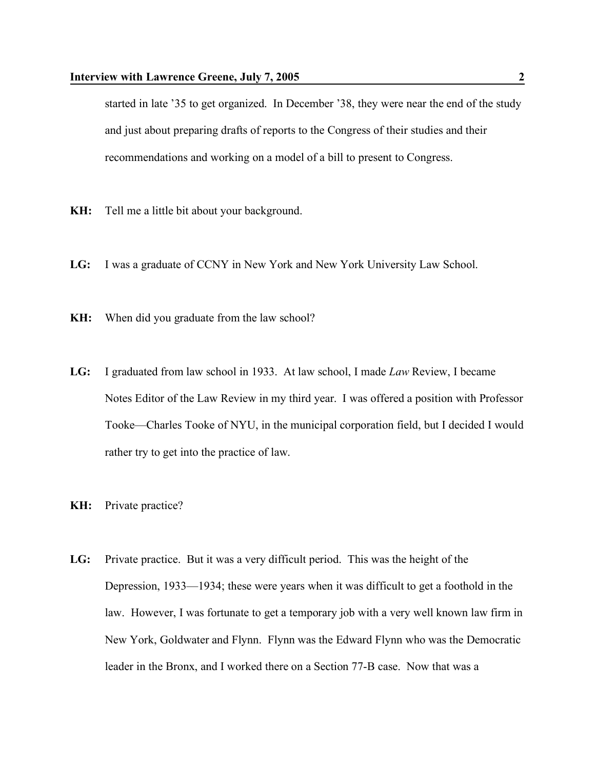started in late '35 to get organized. In December '38, they were near the end of the study and just about preparing drafts of reports to the Congress of their studies and their recommendations and working on a model of a bill to present to Congress.

- **KH:** Tell me a little bit about your background.
- **LG:** I was a graduate of CCNY in New York and New York University Law School.
- **KH:** When did you graduate from the law school?
- **LG:** I graduated from law school in 1933. At law school, I made *Law* Review, I became Notes Editor of the Law Review in my third year. I was offered a position with Professor Tooke—Charles Tooke of NYU, in the municipal corporation field, but I decided I would rather try to get into the practice of law.
- **KH:** Private practice?
- **LG:** Private practice. But it was a very difficult period. This was the height of the Depression, 1933—1934; these were years when it was difficult to get a foothold in the law. However, I was fortunate to get a temporary job with a very well known law firm in New York, Goldwater and Flynn. Flynn was the Edward Flynn who was the Democratic leader in the Bronx, and I worked there on a Section 77-B case. Now that was a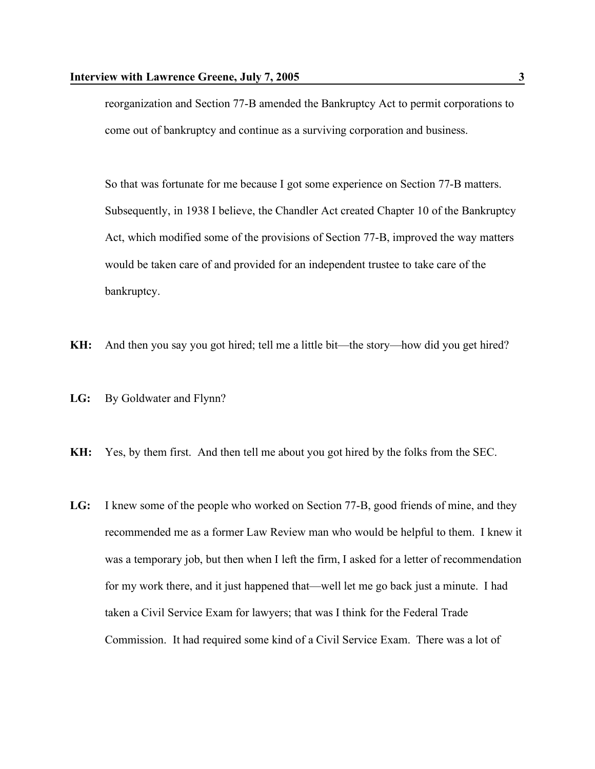reorganization and Section 77-B amended the Bankruptcy Act to permit corporations to come out of bankruptcy and continue as a surviving corporation and business.

So that was fortunate for me because I got some experience on Section 77-B matters. Subsequently, in 1938 I believe, the Chandler Act created Chapter 10 of the Bankruptcy Act, which modified some of the provisions of Section 77-B, improved the way matters would be taken care of and provided for an independent trustee to take care of the bankruptcy.

- **KH:** And then you say you got hired; tell me a little bit—the story—how did you get hired?
- **LG:** By Goldwater and Flynn?
- **KH:** Yes, by them first. And then tell me about you got hired by the folks from the SEC.
- **LG:** I knew some of the people who worked on Section 77-B, good friends of mine, and they recommended me as a former Law Review man who would be helpful to them. I knew it was a temporary job, but then when I left the firm, I asked for a letter of recommendation for my work there, and it just happened that—well let me go back just a minute. I had taken a Civil Service Exam for lawyers; that was I think for the Federal Trade Commission. It had required some kind of a Civil Service Exam. There was a lot of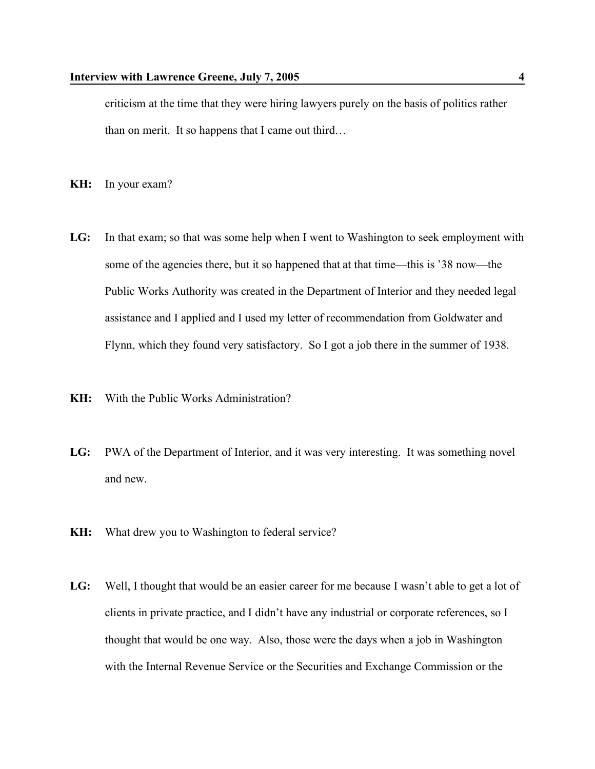criticism at the time that they were hiring lawyers purely on the basis of politics rather than on merit. It so happens that I came out third…

- **KH:** In your exam?
- **LG:** In that exam; so that was some help when I went to Washington to seek employment with some of the agencies there, but it so happened that at that time—this is '38 now—the Public Works Authority was created in the Department of Interior and they needed legal assistance and I applied and I used my letter of recommendation from Goldwater and Flynn, which they found very satisfactory. So I got a job there in the summer of 1938.
- **KH:** With the Public Works Administration?
- **LG:** PWA of the Department of Interior, and it was very interesting. It was something novel and new.
- **KH:** What drew you to Washington to federal service?
- **LG:** Well, I thought that would be an easier career for me because I wasn't able to get a lot of clients in private practice, and I didn't have any industrial or corporate references, so I thought that would be one way. Also, those were the days when a job in Washington with the Internal Revenue Service or the Securities and Exchange Commission or the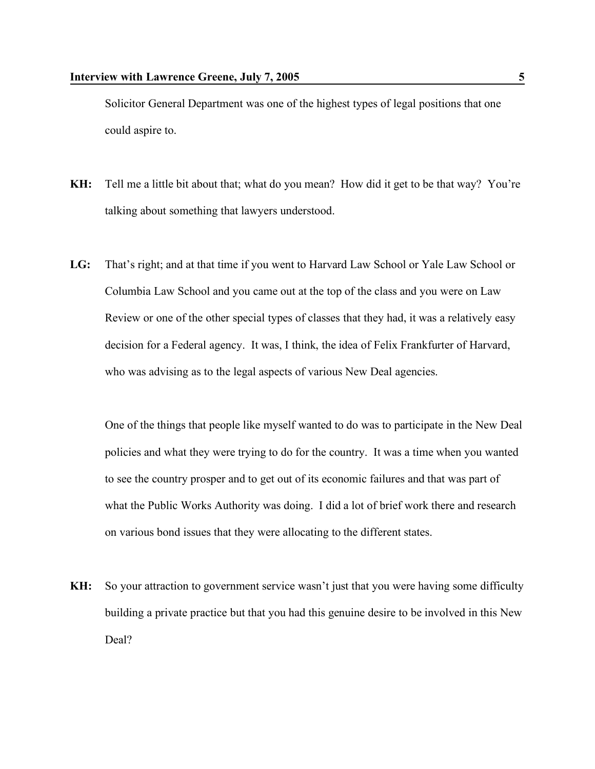Solicitor General Department was one of the highest types of legal positions that one could aspire to.

- **KH:** Tell me a little bit about that; what do you mean? How did it get to be that way? You're talking about something that lawyers understood.
- **LG:** That's right; and at that time if you went to Harvard Law School or Yale Law School or Columbia Law School and you came out at the top of the class and you were on Law Review or one of the other special types of classes that they had, it was a relatively easy decision for a Federal agency. It was, I think, the idea of Felix Frankfurter of Harvard, who was advising as to the legal aspects of various New Deal agencies.

One of the things that people like myself wanted to do was to participate in the New Deal policies and what they were trying to do for the country. It was a time when you wanted to see the country prosper and to get out of its economic failures and that was part of what the Public Works Authority was doing. I did a lot of brief work there and research on various bond issues that they were allocating to the different states.

**KH:** So your attraction to government service wasn't just that you were having some difficulty building a private practice but that you had this genuine desire to be involved in this New Deal?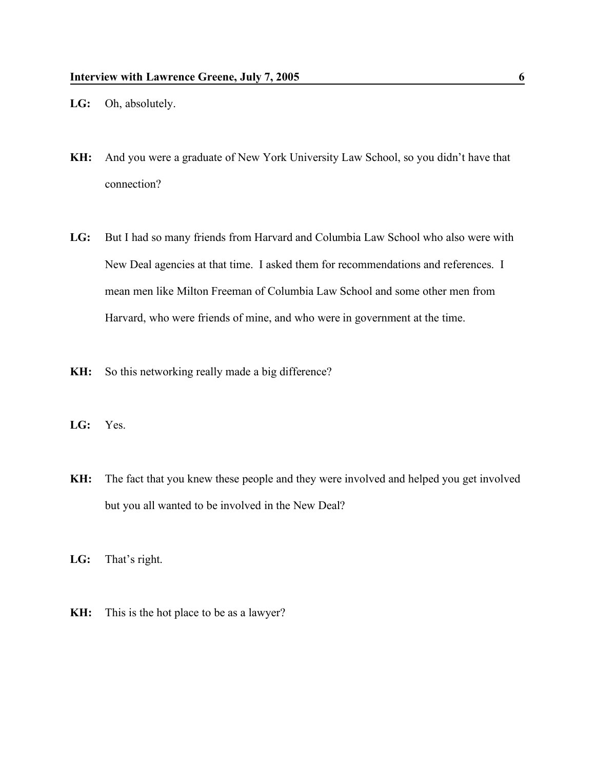- **LG:** Oh, absolutely.
- **KH:** And you were a graduate of New York University Law School, so you didn't have that connection?
- **LG:** But I had so many friends from Harvard and Columbia Law School who also were with New Deal agencies at that time. I asked them for recommendations and references. I mean men like Milton Freeman of Columbia Law School and some other men from Harvard, who were friends of mine, and who were in government at the time.
- **KH:** So this networking really made a big difference?
- **LG:** Yes.
- **KH:** The fact that you knew these people and they were involved and helped you get involved but you all wanted to be involved in the New Deal?
- **LG:** That's right.
- **KH:** This is the hot place to be as a lawyer?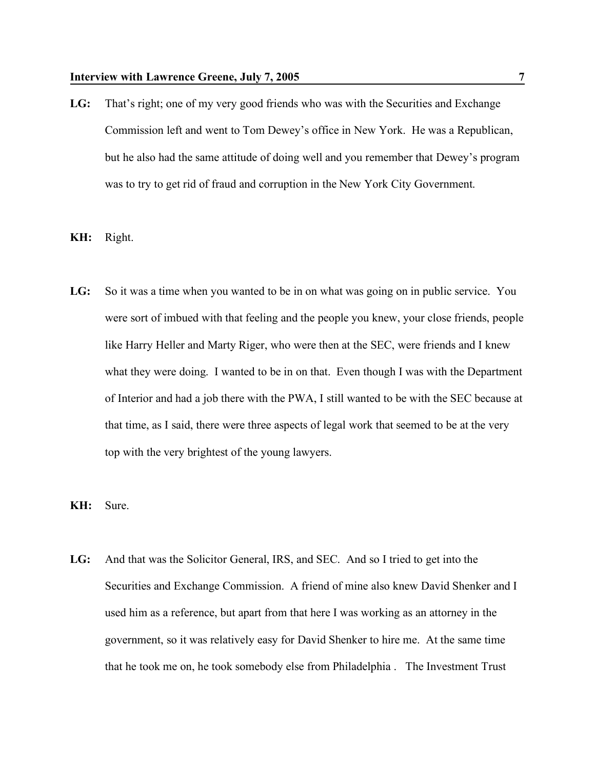- LG: That's right; one of my very good friends who was with the Securities and Exchange Commission left and went to Tom Dewey's office in New York. He was a Republican, but he also had the same attitude of doing well and you remember that Dewey's program was to try to get rid of fraud and corruption in the New York City Government.
- **KH:** Right.
- **LG:** So it was a time when you wanted to be in on what was going on in public service. You were sort of imbued with that feeling and the people you knew, your close friends, people like Harry Heller and Marty Riger, who were then at the SEC, were friends and I knew what they were doing. I wanted to be in on that. Even though I was with the Department of Interior and had a job there with the PWA, I still wanted to be with the SEC because at that time, as I said, there were three aspects of legal work that seemed to be at the very top with the very brightest of the young lawyers.
- **KH:** Sure.
- **LG:** And that was the Solicitor General, IRS, and SEC. And so I tried to get into the Securities and Exchange Commission. A friend of mine also knew David Shenker and I used him as a reference, but apart from that here I was working as an attorney in the government, so it was relatively easy for David Shenker to hire me. At the same time that he took me on, he took somebody else from Philadelphia . The Investment Trust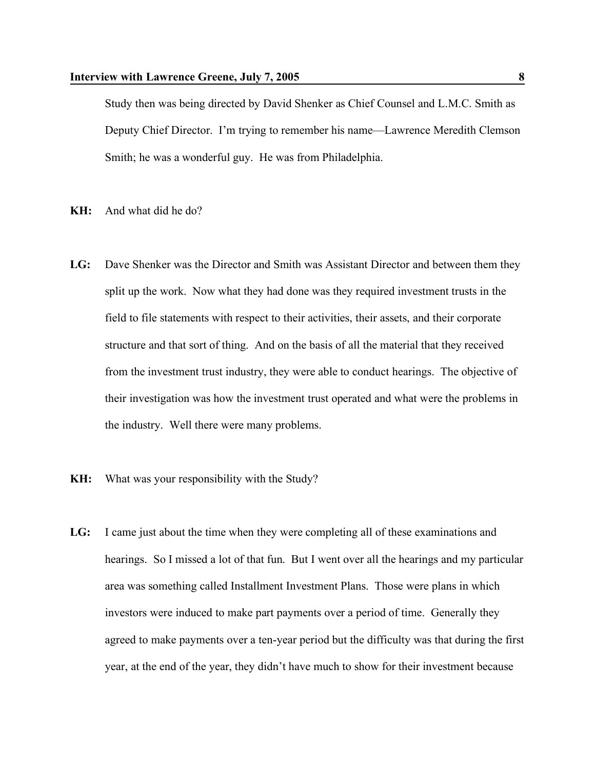Study then was being directed by David Shenker as Chief Counsel and L.M.C. Smith as Deputy Chief Director. I'm trying to remember his name—Lawrence Meredith Clemson Smith; he was a wonderful guy. He was from Philadelphia.

- **KH:** And what did he do?
- **LG:** Dave Shenker was the Director and Smith was Assistant Director and between them they split up the work. Now what they had done was they required investment trusts in the field to file statements with respect to their activities, their assets, and their corporate structure and that sort of thing. And on the basis of all the material that they received from the investment trust industry, they were able to conduct hearings. The objective of their investigation was how the investment trust operated and what were the problems in the industry. Well there were many problems.
- **KH:** What was your responsibility with the Study?
- **LG:** I came just about the time when they were completing all of these examinations and hearings. So I missed a lot of that fun. But I went over all the hearings and my particular area was something called Installment Investment Plans. Those were plans in which investors were induced to make part payments over a period of time. Generally they agreed to make payments over a ten-year period but the difficulty was that during the first year, at the end of the year, they didn't have much to show for their investment because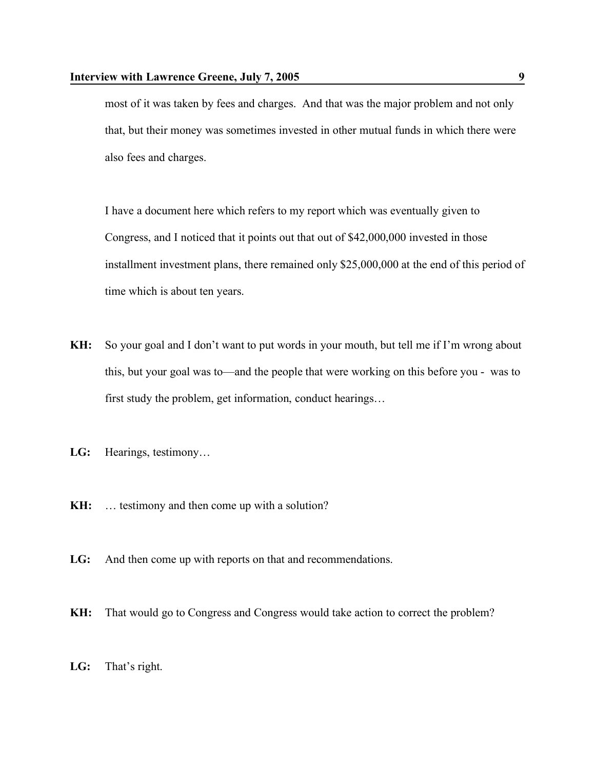most of it was taken by fees and charges. And that was the major problem and not only that, but their money was sometimes invested in other mutual funds in which there were also fees and charges.

I have a document here which refers to my report which was eventually given to Congress, and I noticed that it points out that out of \$42,000,000 invested in those installment investment plans, there remained only \$25,000,000 at the end of this period of time which is about ten years.

- **KH:** So your goal and I don't want to put words in your mouth, but tell me if I'm wrong about this, but your goal was to—and the people that were working on this before you - was to first study the problem, get information, conduct hearings…
- **LG:** Hearings, testimony…
- **KH:** ... testimony and then come up with a solution?
- **LG:** And then come up with reports on that and recommendations.
- **KH:** That would go to Congress and Congress would take action to correct the problem?
- **LG:** That's right.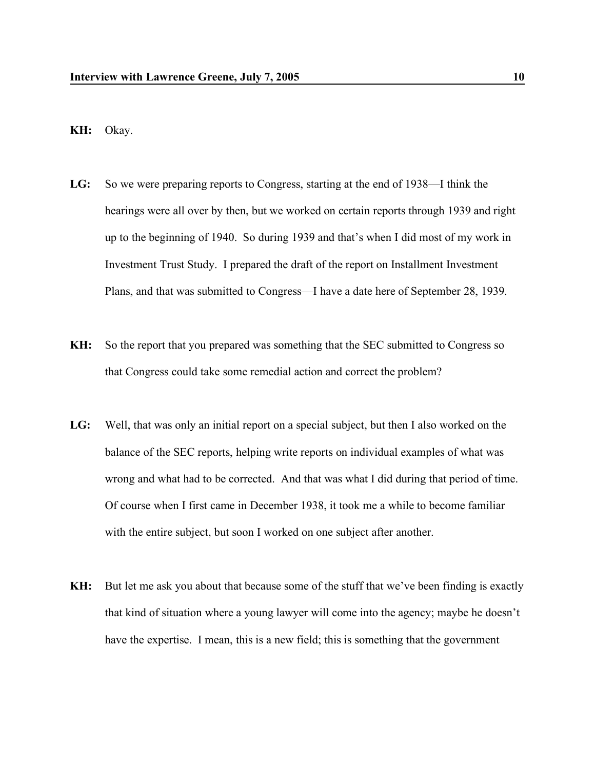## **KH:** Okay.

- **LG:** So we were preparing reports to Congress, starting at the end of 1938—I think the hearings were all over by then, but we worked on certain reports through 1939 and right up to the beginning of 1940. So during 1939 and that's when I did most of my work in Investment Trust Study. I prepared the draft of the report on Installment Investment Plans, and that was submitted to Congress—I have a date here of September 28, 1939.
- **KH:** So the report that you prepared was something that the SEC submitted to Congress so that Congress could take some remedial action and correct the problem?
- **LG:** Well, that was only an initial report on a special subject, but then I also worked on the balance of the SEC reports, helping write reports on individual examples of what was wrong and what had to be corrected. And that was what I did during that period of time. Of course when I first came in December 1938, it took me a while to become familiar with the entire subject, but soon I worked on one subject after another.
- **KH:** But let me ask you about that because some of the stuff that we've been finding is exactly that kind of situation where a young lawyer will come into the agency; maybe he doesn't have the expertise. I mean, this is a new field; this is something that the government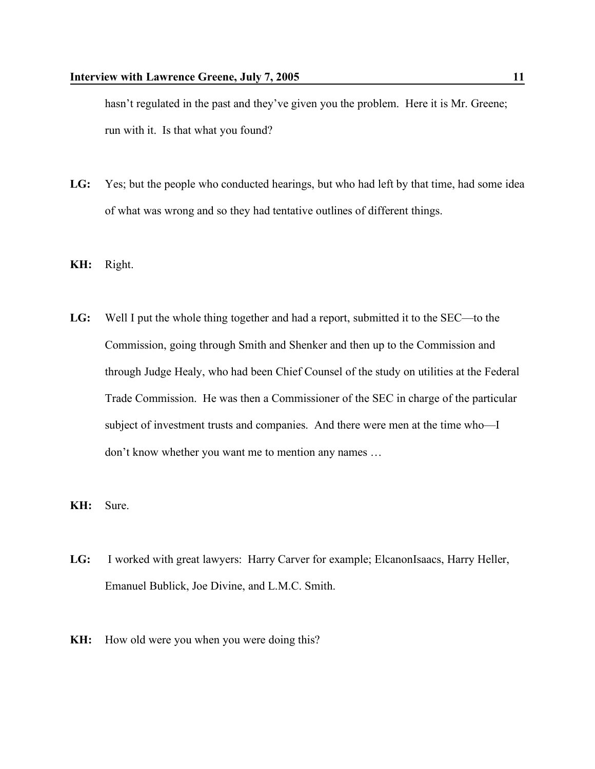hasn't regulated in the past and they've given you the problem. Here it is Mr. Greene; run with it. Is that what you found?

- LG: Yes; but the people who conducted hearings, but who had left by that time, had some idea of what was wrong and so they had tentative outlines of different things.
- **KH:** Right.
- **LG:** Well I put the whole thing together and had a report, submitted it to the SEC—to the Commission, going through Smith and Shenker and then up to the Commission and through Judge Healy, who had been Chief Counsel of the study on utilities at the Federal Trade Commission. He was then a Commissioner of the SEC in charge of the particular subject of investment trusts and companies. And there were men at the time who—I don't know whether you want me to mention any names …
- **KH:** Sure.
- LG: I worked with great lawyers: Harry Carver for example; ElcanonIsaacs, Harry Heller, Emanuel Bublick, Joe Divine, and L.M.C. Smith.
- **KH:** How old were you when you were doing this?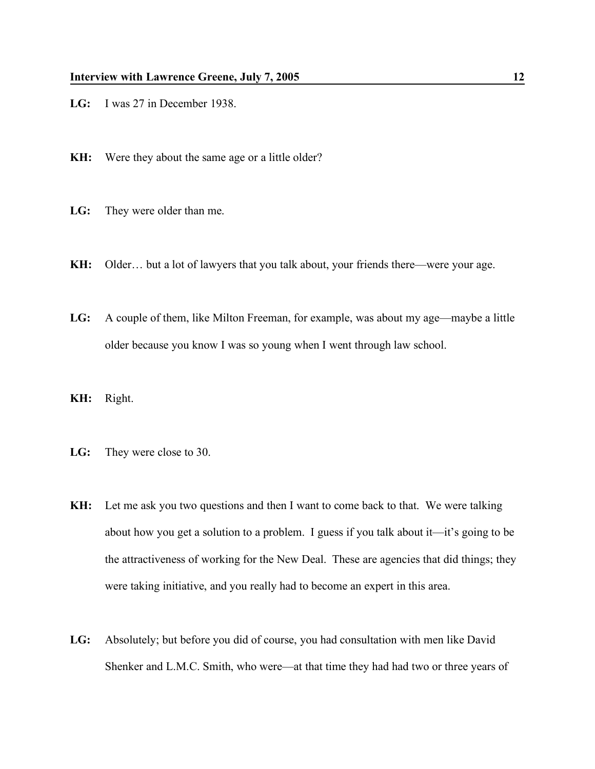- **LG:** I was 27 in December 1938.
- **KH:** Were they about the same age or a little older?
- **LG:** They were older than me.
- **KH:** Older… but a lot of lawyers that you talk about, your friends there—were your age.
- **LG:** A couple of them, like Milton Freeman, for example, was about my age—maybe a little older because you know I was so young when I went through law school.
- **KH:** Right.
- **LG:** They were close to 30.
- **KH:** Let me ask you two questions and then I want to come back to that. We were talking about how you get a solution to a problem. I guess if you talk about it—it's going to be the attractiveness of working for the New Deal. These are agencies that did things; they were taking initiative, and you really had to become an expert in this area.
- **LG:** Absolutely; but before you did of course, you had consultation with men like David Shenker and L.M.C. Smith, who were—at that time they had had two or three years of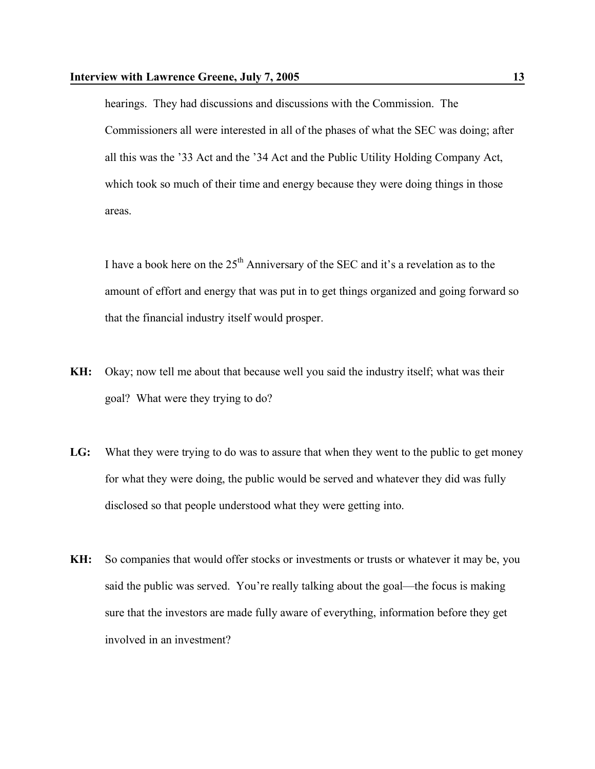hearings. They had discussions and discussions with the Commission. The Commissioners all were interested in all of the phases of what the SEC was doing; after all this was the '33 Act and the '34 Act and the Public Utility Holding Company Act, which took so much of their time and energy because they were doing things in those areas.

I have a book here on the  $25<sup>th</sup>$  Anniversary of the SEC and it's a revelation as to the amount of effort and energy that was put in to get things organized and going forward so that the financial industry itself would prosper.

- **KH:** Okay; now tell me about that because well you said the industry itself; what was their goal? What were they trying to do?
- **LG:** What they were trying to do was to assure that when they went to the public to get money for what they were doing, the public would be served and whatever they did was fully disclosed so that people understood what they were getting into.
- **KH:** So companies that would offer stocks or investments or trusts or whatever it may be, you said the public was served. You're really talking about the goal—the focus is making sure that the investors are made fully aware of everything, information before they get involved in an investment?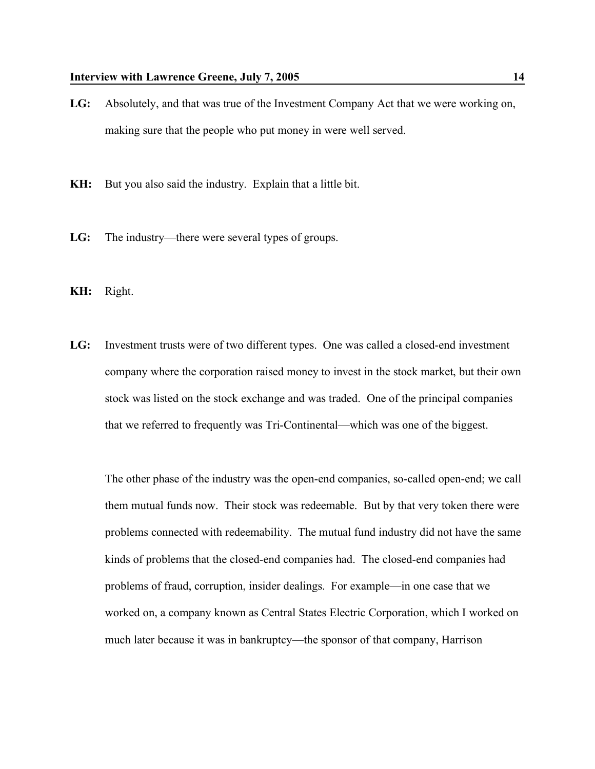- **LG:** Absolutely, and that was true of the Investment Company Act that we were working on, making sure that the people who put money in were well served.
- **KH:** But you also said the industry. Explain that a little bit.
- **LG:** The industry—there were several types of groups.
- **KH:** Right.
- **LG:** Investment trusts were of two different types. One was called a closed-end investment company where the corporation raised money to invest in the stock market, but their own stock was listed on the stock exchange and was traded. One of the principal companies that we referred to frequently was Tri-Continental—which was one of the biggest.

The other phase of the industry was the open-end companies, so-called open-end; we call them mutual funds now. Their stock was redeemable. But by that very token there were problems connected with redeemability. The mutual fund industry did not have the same kinds of problems that the closed-end companies had. The closed-end companies had problems of fraud, corruption, insider dealings. For example—in one case that we worked on, a company known as Central States Electric Corporation, which I worked on much later because it was in bankruptcy—the sponsor of that company, Harrison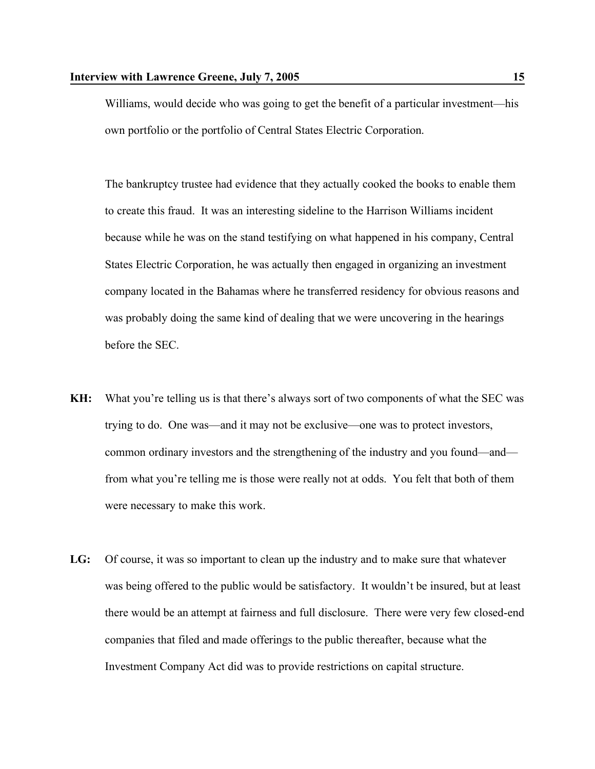Williams, would decide who was going to get the benefit of a particular investment—his own portfolio or the portfolio of Central States Electric Corporation.

The bankruptcy trustee had evidence that they actually cooked the books to enable them to create this fraud. It was an interesting sideline to the Harrison Williams incident because while he was on the stand testifying on what happened in his company, Central States Electric Corporation, he was actually then engaged in organizing an investment company located in the Bahamas where he transferred residency for obvious reasons and was probably doing the same kind of dealing that we were uncovering in the hearings before the SEC.

- **KH:** What you're telling us is that there's always sort of two components of what the SEC was trying to do. One was—and it may not be exclusive—one was to protect investors, common ordinary investors and the strengthening of the industry and you found—and from what you're telling me is those were really not at odds. You felt that both of them were necessary to make this work.
- **LG:** Of course, it was so important to clean up the industry and to make sure that whatever was being offered to the public would be satisfactory. It wouldn't be insured, but at least there would be an attempt at fairness and full disclosure. There were very few closed-end companies that filed and made offerings to the public thereafter, because what the Investment Company Act did was to provide restrictions on capital structure.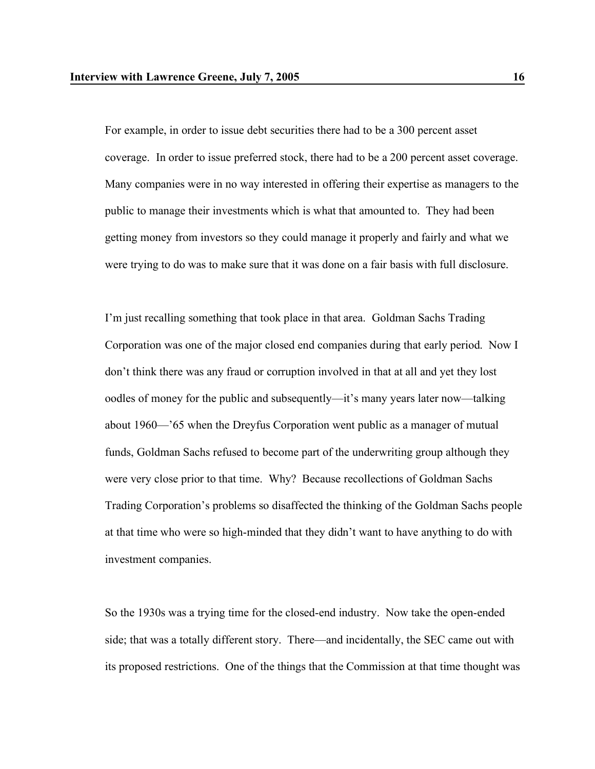For example, in order to issue debt securities there had to be a 300 percent asset coverage. In order to issue preferred stock, there had to be a 200 percent asset coverage. Many companies were in no way interested in offering their expertise as managers to the public to manage their investments which is what that amounted to. They had been getting money from investors so they could manage it properly and fairly and what we were trying to do was to make sure that it was done on a fair basis with full disclosure.

I'm just recalling something that took place in that area. Goldman Sachs Trading Corporation was one of the major closed end companies during that early period. Now I don't think there was any fraud or corruption involved in that at all and yet they lost oodles of money for the public and subsequently—it's many years later now—talking about 1960—'65 when the Dreyfus Corporation went public as a manager of mutual funds, Goldman Sachs refused to become part of the underwriting group although they were very close prior to that time. Why? Because recollections of Goldman Sachs Trading Corporation's problems so disaffected the thinking of the Goldman Sachs people at that time who were so high-minded that they didn't want to have anything to do with investment companies.

So the 1930s was a trying time for the closed-end industry. Now take the open-ended side; that was a totally different story. There—and incidentally, the SEC came out with its proposed restrictions. One of the things that the Commission at that time thought was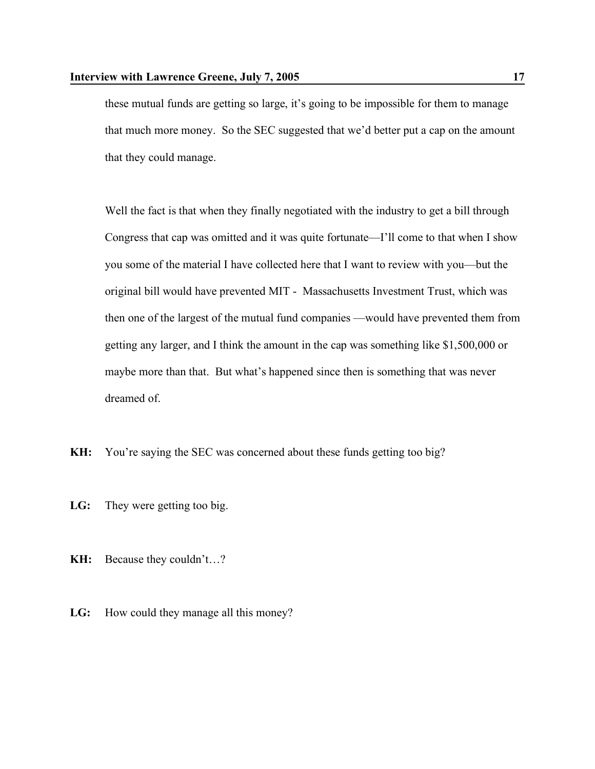these mutual funds are getting so large, it's going to be impossible for them to manage that much more money. So the SEC suggested that we'd better put a cap on the amount that they could manage.

Well the fact is that when they finally negotiated with the industry to get a bill through Congress that cap was omitted and it was quite fortunate—I'll come to that when I show you some of the material I have collected here that I want to review with you—but the original bill would have prevented MIT - Massachusetts Investment Trust, which was then one of the largest of the mutual fund companies —would have prevented them from getting any larger, and I think the amount in the cap was something like \$1,500,000 or maybe more than that. But what's happened since then is something that was never dreamed of.

- **KH:** You're saying the SEC was concerned about these funds getting too big?
- **LG:** They were getting too big.
- **KH:** Because they couldn't…?
- **LG:** How could they manage all this money?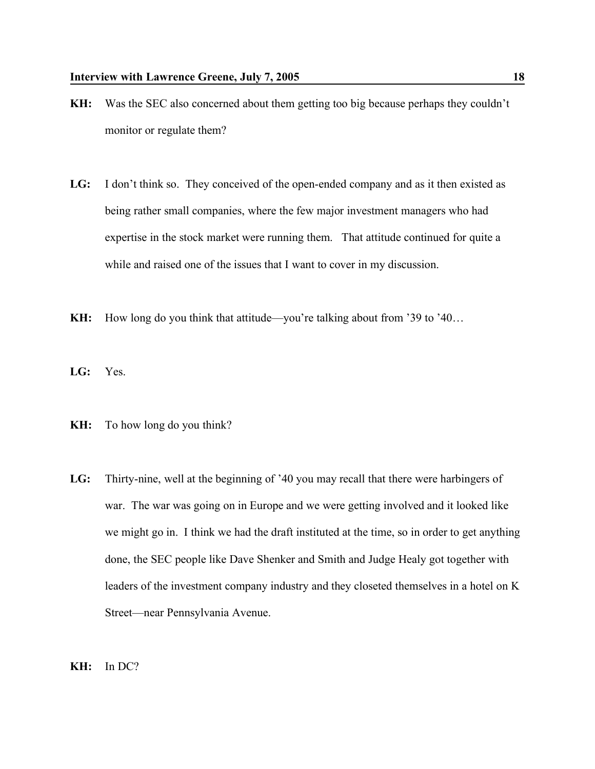- **KH:** Was the SEC also concerned about them getting too big because perhaps they couldn't monitor or regulate them?
- **LG:** I don't think so. They conceived of the open-ended company and as it then existed as being rather small companies, where the few major investment managers who had expertise in the stock market were running them. That attitude continued for quite a while and raised one of the issues that I want to cover in my discussion.
- **KH:** How long do you think that attitude—you're talking about from '39 to '40...
- **LG:** Yes.
- **KH:** To how long do you think?
- **LG:** Thirty-nine, well at the beginning of '40 you may recall that there were harbingers of war. The war was going on in Europe and we were getting involved and it looked like we might go in. I think we had the draft instituted at the time, so in order to get anything done, the SEC people like Dave Shenker and Smith and Judge Healy got together with leaders of the investment company industry and they closeted themselves in a hotel on K Street—near Pennsylvania Avenue.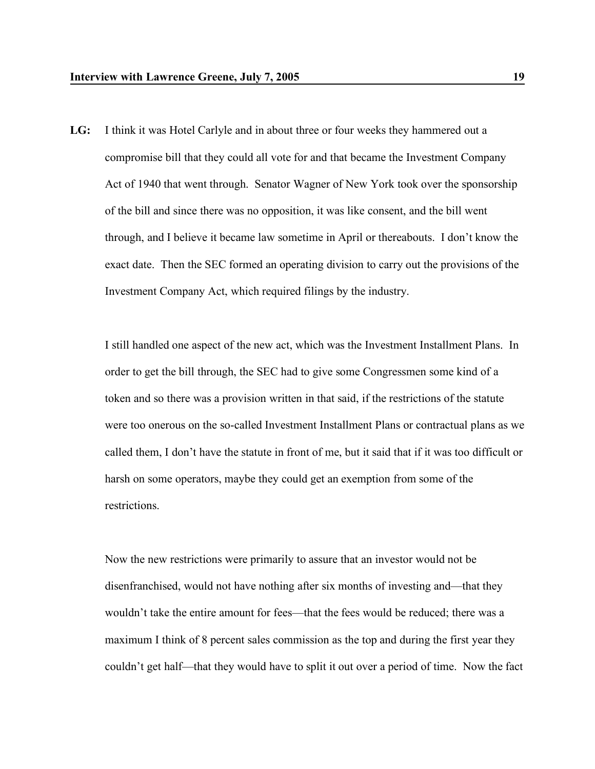**LG:** I think it was Hotel Carlyle and in about three or four weeks they hammered out a compromise bill that they could all vote for and that became the Investment Company Act of 1940 that went through. Senator Wagner of New York took over the sponsorship of the bill and since there was no opposition, it was like consent, and the bill went through, and I believe it became law sometime in April or thereabouts. I don't know the exact date. Then the SEC formed an operating division to carry out the provisions of the Investment Company Act, which required filings by the industry.

I still handled one aspect of the new act, which was the Investment Installment Plans. In order to get the bill through, the SEC had to give some Congressmen some kind of a token and so there was a provision written in that said, if the restrictions of the statute were too onerous on the so-called Investment Installment Plans or contractual plans as we called them, I don't have the statute in front of me, but it said that if it was too difficult or harsh on some operators, maybe they could get an exemption from some of the restrictions.

Now the new restrictions were primarily to assure that an investor would not be disenfranchised, would not have nothing after six months of investing and—that they wouldn't take the entire amount for fees—that the fees would be reduced; there was a maximum I think of 8 percent sales commission as the top and during the first year they couldn't get half—that they would have to split it out over a period of time. Now the fact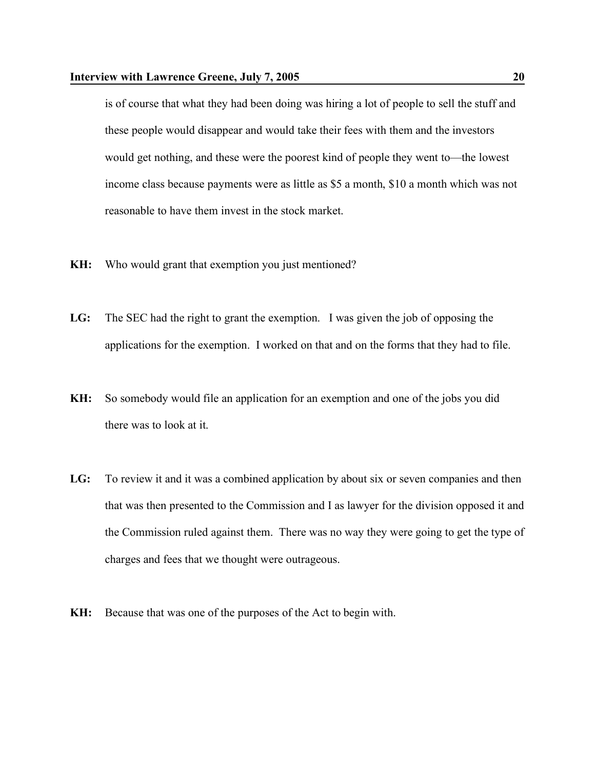is of course that what they had been doing was hiring a lot of people to sell the stuff and these people would disappear and would take their fees with them and the investors would get nothing, and these were the poorest kind of people they went to—the lowest income class because payments were as little as \$5 a month, \$10 a month which was not reasonable to have them invest in the stock market.

- **KH:** Who would grant that exemption you just mentioned?
- **LG:** The SEC had the right to grant the exemption. I was given the job of opposing the applications for the exemption. I worked on that and on the forms that they had to file.
- **KH:** So somebody would file an application for an exemption and one of the jobs you did there was to look at it.
- **LG:** To review it and it was a combined application by about six or seven companies and then that was then presented to the Commission and I as lawyer for the division opposed it and the Commission ruled against them. There was no way they were going to get the type of charges and fees that we thought were outrageous.
- **KH:** Because that was one of the purposes of the Act to begin with.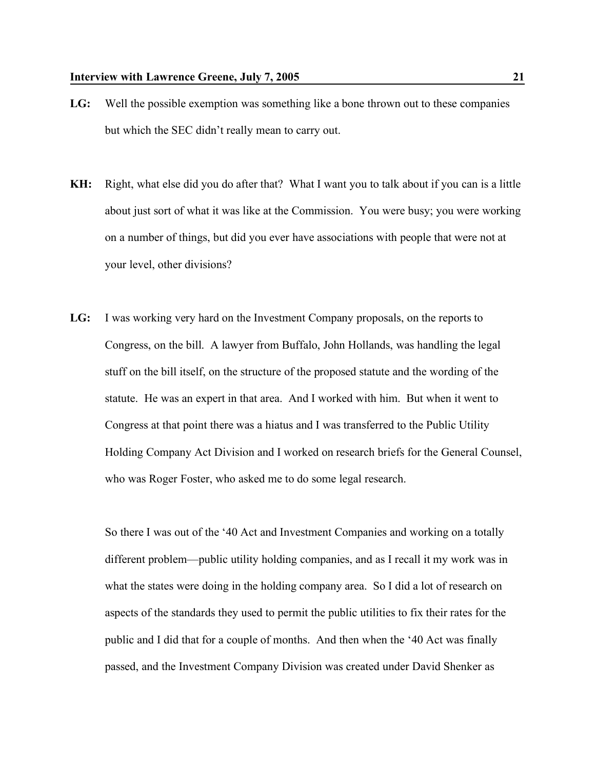- **LG:** Well the possible exemption was something like a bone thrown out to these companies but which the SEC didn't really mean to carry out.
- **KH:** Right, what else did you do after that? What I want you to talk about if you can is a little about just sort of what it was like at the Commission. You were busy; you were working on a number of things, but did you ever have associations with people that were not at your level, other divisions?
- **LG:** I was working very hard on the Investment Company proposals, on the reports to Congress, on the bill. A lawyer from Buffalo, John Hollands, was handling the legal stuff on the bill itself, on the structure of the proposed statute and the wording of the statute. He was an expert in that area. And I worked with him. But when it went to Congress at that point there was a hiatus and I was transferred to the Public Utility Holding Company Act Division and I worked on research briefs for the General Counsel, who was Roger Foster, who asked me to do some legal research.

So there I was out of the '40 Act and Investment Companies and working on a totally different problem—public utility holding companies, and as I recall it my work was in what the states were doing in the holding company area. So I did a lot of research on aspects of the standards they used to permit the public utilities to fix their rates for the public and I did that for a couple of months. And then when the '40 Act was finally passed, and the Investment Company Division was created under David Shenker as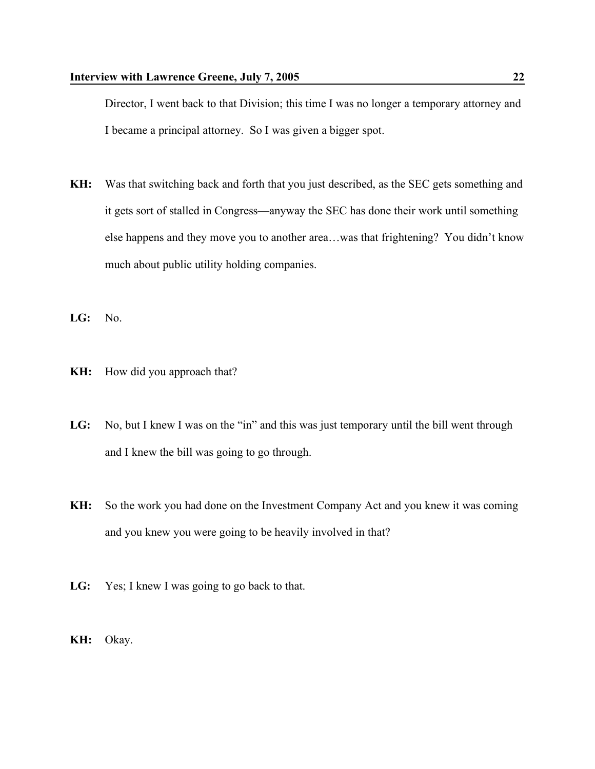Director, I went back to that Division; this time I was no longer a temporary attorney and I became a principal attorney. So I was given a bigger spot.

- **KH:** Was that switching back and forth that you just described, as the SEC gets something and it gets sort of stalled in Congress—anyway the SEC has done their work until something else happens and they move you to another area…was that frightening? You didn't know much about public utility holding companies.
- **LG:** No.
- **KH:** How did you approach that?
- LG: No, but I knew I was on the "in" and this was just temporary until the bill went through and I knew the bill was going to go through.
- **KH:** So the work you had done on the Investment Company Act and you knew it was coming and you knew you were going to be heavily involved in that?
- **LG:** Yes; I knew I was going to go back to that.
- **KH:** Okay.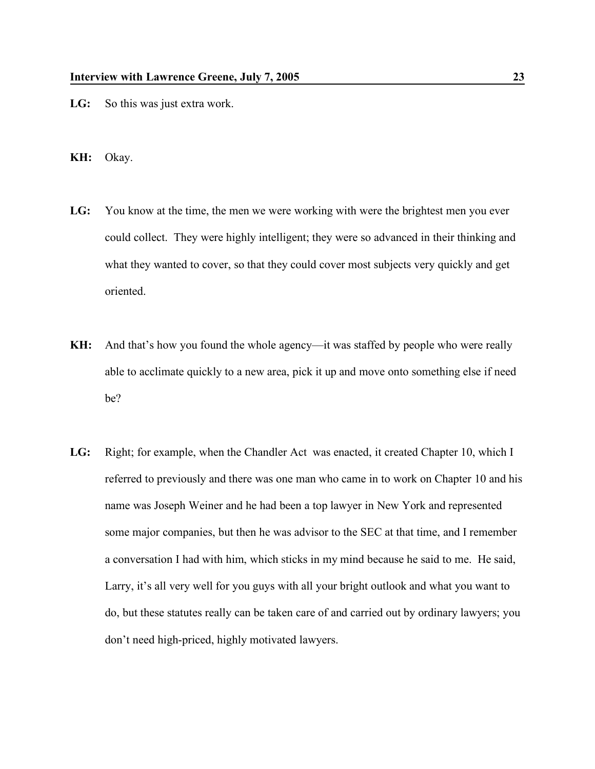- LG: So this was just extra work.
- **KH:** Okay.
- **LG:** You know at the time, the men we were working with were the brightest men you ever could collect. They were highly intelligent; they were so advanced in their thinking and what they wanted to cover, so that they could cover most subjects very quickly and get oriented.
- **KH:** And that's how you found the whole agency—it was staffed by people who were really able to acclimate quickly to a new area, pick it up and move onto something else if need be?
- **LG:** Right; for example, when the Chandler Act was enacted, it created Chapter 10, which I referred to previously and there was one man who came in to work on Chapter 10 and his name was Joseph Weiner and he had been a top lawyer in New York and represented some major companies, but then he was advisor to the SEC at that time, and I remember a conversation I had with him, which sticks in my mind because he said to me. He said, Larry, it's all very well for you guys with all your bright outlook and what you want to do, but these statutes really can be taken care of and carried out by ordinary lawyers; you don't need high-priced, highly motivated lawyers.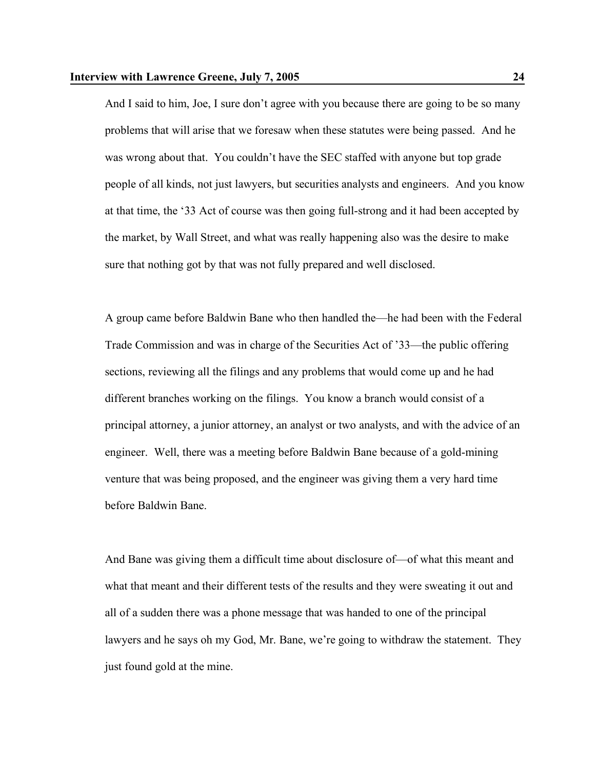And I said to him, Joe, I sure don't agree with you because there are going to be so many problems that will arise that we foresaw when these statutes were being passed. And he was wrong about that. You couldn't have the SEC staffed with anyone but top grade people of all kinds, not just lawyers, but securities analysts and engineers. And you know at that time, the '33 Act of course was then going full-strong and it had been accepted by the market, by Wall Street, and what was really happening also was the desire to make sure that nothing got by that was not fully prepared and well disclosed.

A group came before Baldwin Bane who then handled the—he had been with the Federal Trade Commission and was in charge of the Securities Act of '33—the public offering sections, reviewing all the filings and any problems that would come up and he had different branches working on the filings. You know a branch would consist of a principal attorney, a junior attorney, an analyst or two analysts, and with the advice of an engineer. Well, there was a meeting before Baldwin Bane because of a gold-mining venture that was being proposed, and the engineer was giving them a very hard time before Baldwin Bane.

And Bane was giving them a difficult time about disclosure of—of what this meant and what that meant and their different tests of the results and they were sweating it out and all of a sudden there was a phone message that was handed to one of the principal lawyers and he says oh my God, Mr. Bane, we're going to withdraw the statement. They just found gold at the mine.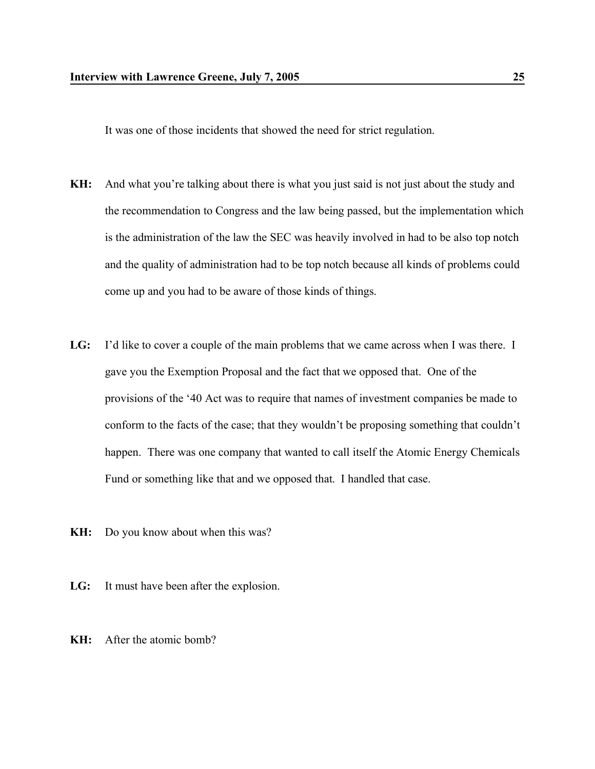It was one of those incidents that showed the need for strict regulation.

- **KH:** And what you're talking about there is what you just said is not just about the study and the recommendation to Congress and the law being passed, but the implementation which is the administration of the law the SEC was heavily involved in had to be also top notch and the quality of administration had to be top notch because all kinds of problems could come up and you had to be aware of those kinds of things.
- **LG:** I'd like to cover a couple of the main problems that we came across when I was there. I gave you the Exemption Proposal and the fact that we opposed that. One of the provisions of the '40 Act was to require that names of investment companies be made to conform to the facts of the case; that they wouldn't be proposing something that couldn't happen. There was one company that wanted to call itself the Atomic Energy Chemicals Fund or something like that and we opposed that. I handled that case.
- **KH:** Do you know about when this was?
- **LG:** It must have been after the explosion.
- **KH:** After the atomic bomb?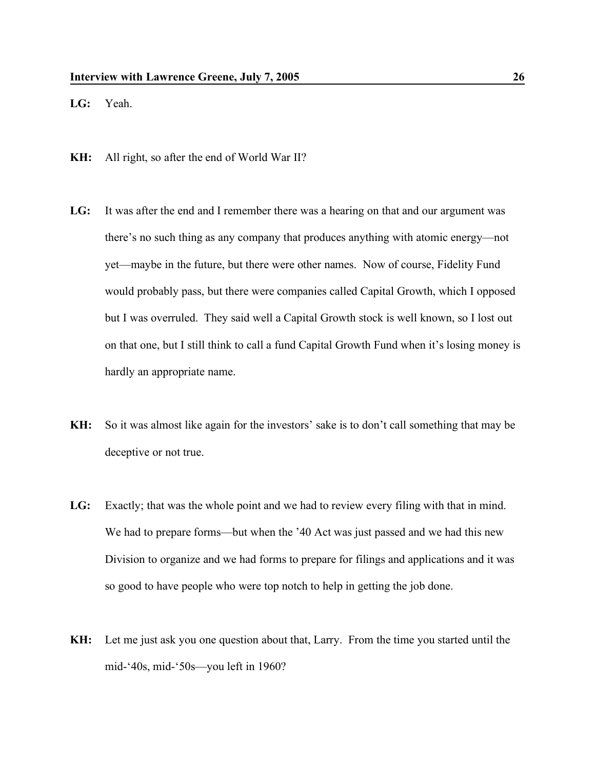**LG:** Yeah.

- **KH:** All right, so after the end of World War II?
- **LG:** It was after the end and I remember there was a hearing on that and our argument was there's no such thing as any company that produces anything with atomic energy—not yet—maybe in the future, but there were other names. Now of course, Fidelity Fund would probably pass, but there were companies called Capital Growth, which I opposed but I was overruled. They said well a Capital Growth stock is well known, so I lost out on that one, but I still think to call a fund Capital Growth Fund when it's losing money is hardly an appropriate name.
- **KH:** So it was almost like again for the investors' sake is to don't call something that may be deceptive or not true.
- **LG:** Exactly; that was the whole point and we had to review every filing with that in mind. We had to prepare forms—but when the '40 Act was just passed and we had this new Division to organize and we had forms to prepare for filings and applications and it was so good to have people who were top notch to help in getting the job done.
- **KH:** Let me just ask you one question about that, Larry. From the time you started until the mid-'40s, mid-'50s—you left in 1960?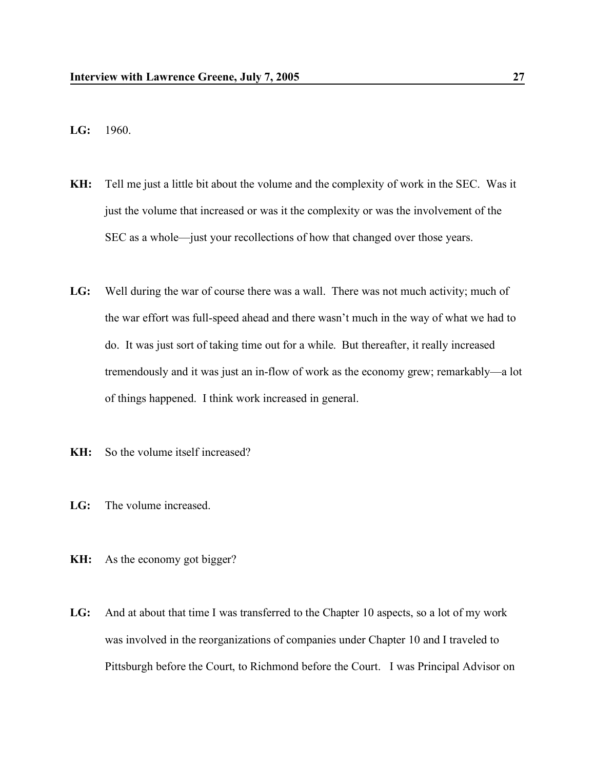- **LG:** 1960.
- **KH:** Tell me just a little bit about the volume and the complexity of work in the SEC. Was it just the volume that increased or was it the complexity or was the involvement of the SEC as a whole—just your recollections of how that changed over those years.
- **LG:** Well during the war of course there was a wall. There was not much activity; much of the war effort was full-speed ahead and there wasn't much in the way of what we had to do. It was just sort of taking time out for a while. But thereafter, it really increased tremendously and it was just an in-flow of work as the economy grew; remarkably—a lot of things happened. I think work increased in general.
- **KH:** So the volume itself increased?
- **LG:** The volume increased.
- **KH:** As the economy got bigger?
- **LG:** And at about that time I was transferred to the Chapter 10 aspects, so a lot of my work was involved in the reorganizations of companies under Chapter 10 and I traveled to Pittsburgh before the Court, to Richmond before the Court. I was Principal Advisor on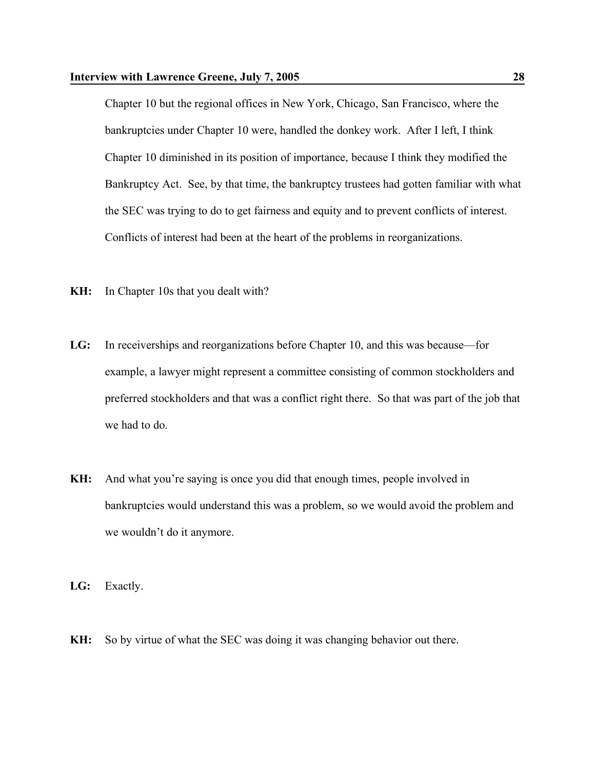## **Interview with Lawrence Greene, July 7, 2005 28**

Chapter 10 but the regional offices in New York, Chicago, San Francisco, where the bankruptcies under Chapter 10 were, handled the donkey work. After I left, I think Chapter 10 diminished in its position of importance, because I think they modified the Bankruptcy Act. See, by that time, the bankruptcy trustees had gotten familiar with what the SEC was trying to do to get fairness and equity and to prevent conflicts of interest. Conflicts of interest had been at the heart of the problems in reorganizations.

- **KH:** In Chapter 10s that you dealt with?
- **LG:** In receiverships and reorganizations before Chapter 10, and this was because—for example, a lawyer might represent a committee consisting of common stockholders and preferred stockholders and that was a conflict right there. So that was part of the job that we had to do.
- **KH:** And what you're saying is once you did that enough times, people involved in bankruptcies would understand this was a problem, so we would avoid the problem and we wouldn't do it anymore.
- **LG:** Exactly.
- **KH:** So by virtue of what the SEC was doing it was changing behavior out there.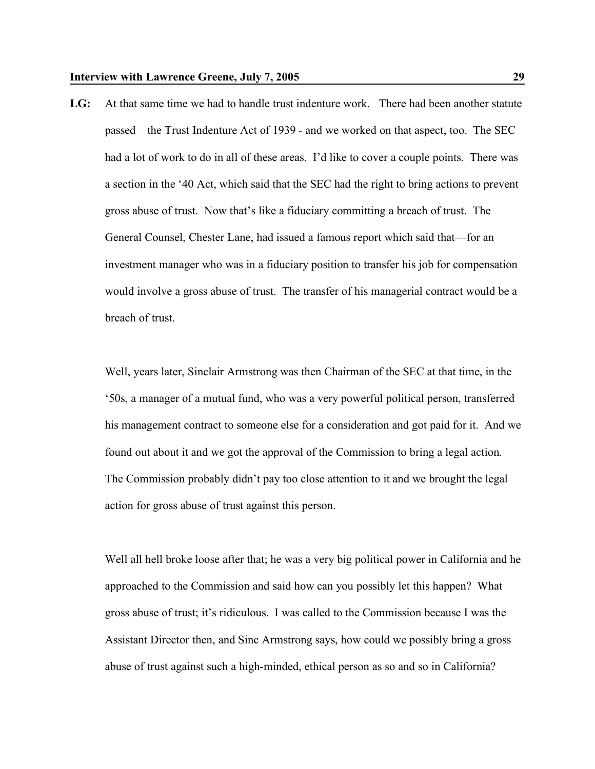**LG:** At that same time we had to handle trust indenture work. There had been another statute passed—the Trust Indenture Act of 1939 - and we worked on that aspect, too. The SEC had a lot of work to do in all of these areas. I'd like to cover a couple points. There was a section in the '40 Act, which said that the SEC had the right to bring actions to prevent gross abuse of trust. Now that's like a fiduciary committing a breach of trust. The General Counsel, Chester Lane, had issued a famous report which said that—for an investment manager who was in a fiduciary position to transfer his job for compensation would involve a gross abuse of trust. The transfer of his managerial contract would be a breach of trust.

Well, years later, Sinclair Armstrong was then Chairman of the SEC at that time, in the '50s, a manager of a mutual fund, who was a very powerful political person, transferred his management contract to someone else for a consideration and got paid for it. And we found out about it and we got the approval of the Commission to bring a legal action. The Commission probably didn't pay too close attention to it and we brought the legal action for gross abuse of trust against this person.

Well all hell broke loose after that; he was a very big political power in California and he approached to the Commission and said how can you possibly let this happen? What gross abuse of trust; it's ridiculous. I was called to the Commission because I was the Assistant Director then, and Sinc Armstrong says, how could we possibly bring a gross abuse of trust against such a high-minded, ethical person as so and so in California?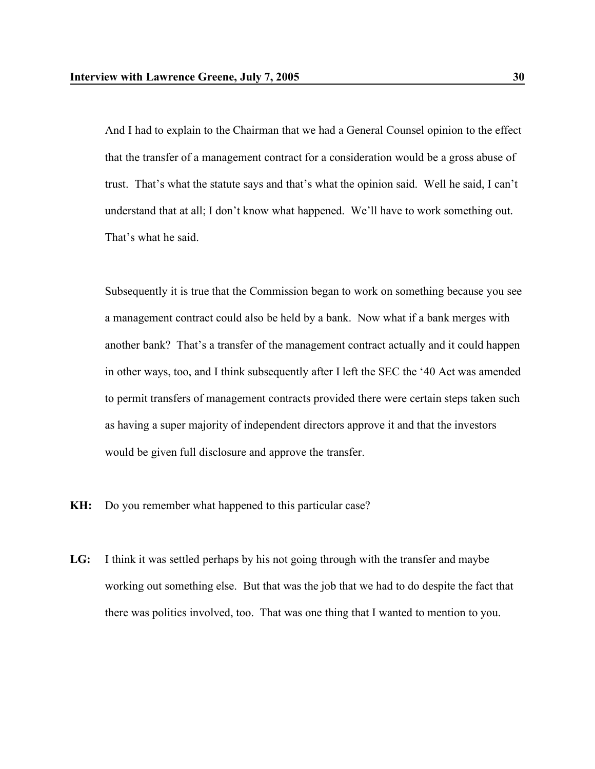And I had to explain to the Chairman that we had a General Counsel opinion to the effect that the transfer of a management contract for a consideration would be a gross abuse of trust. That's what the statute says and that's what the opinion said. Well he said, I can't understand that at all; I don't know what happened. We'll have to work something out. That's what he said.

Subsequently it is true that the Commission began to work on something because you see a management contract could also be held by a bank. Now what if a bank merges with another bank? That's a transfer of the management contract actually and it could happen in other ways, too, and I think subsequently after I left the SEC the '40 Act was amended to permit transfers of management contracts provided there were certain steps taken such as having a super majority of independent directors approve it and that the investors would be given full disclosure and approve the transfer.

- **KH:** Do you remember what happened to this particular case?
- **LG:** I think it was settled perhaps by his not going through with the transfer and maybe working out something else. But that was the job that we had to do despite the fact that there was politics involved, too. That was one thing that I wanted to mention to you.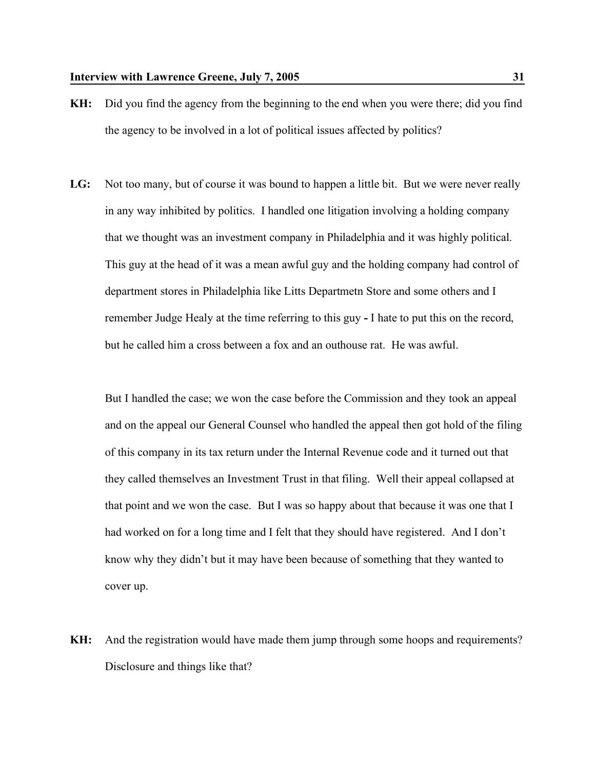- **KH:** Did you find the agency from the beginning to the end when you were there; did you find the agency to be involved in a lot of political issues affected by politics?
- LG: Not too many, but of course it was bound to happen a little bit. But we were never really in any way inhibited by politics. I handled one litigation involving a holding company that we thought was an investment company in Philadelphia and it was highly political. This guy at the head of it was a mean awful guy and the holding company had control of department stores in Philadelphia like Litts Departmetn Store and some others and I remember Judge Healy at the time referring to this guy **-** I hate to put this on the record, but he called him a cross between a fox and an outhouse rat. He was awful.

But I handled the case; we won the case before the Commission and they took an appeal and on the appeal our General Counsel who handled the appeal then got hold of the filing of this company in its tax return under the Internal Revenue code and it turned out that they called themselves an Investment Trust in that filing. Well their appeal collapsed at that point and we won the case. But I was so happy about that because it was one that I had worked on for a long time and I felt that they should have registered. And I don't know why they didn't but it may have been because of something that they wanted to cover up.

**KH:** And the registration would have made them jump through some hoops and requirements? Disclosure and things like that?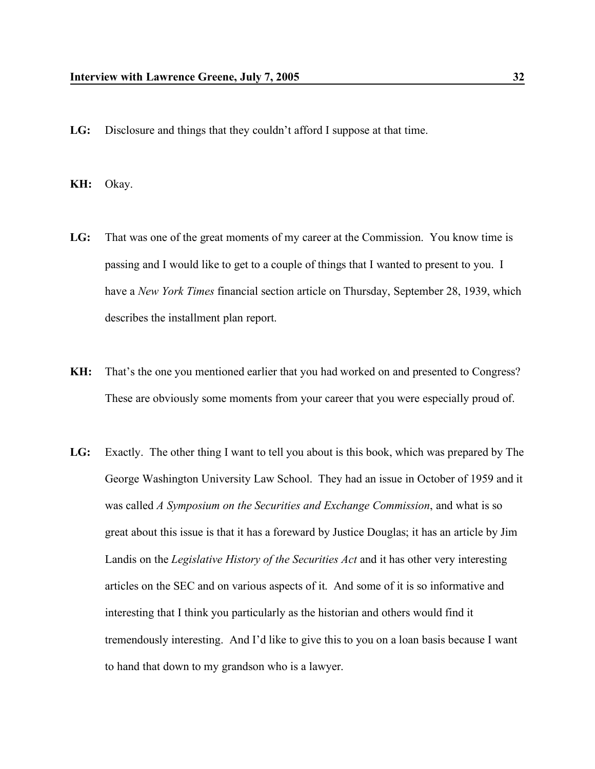- **LG:** Disclosure and things that they couldn't afford I suppose at that time.
- **KH:** Okay.
- **LG:** That was one of the great moments of my career at the Commission. You know time is passing and I would like to get to a couple of things that I wanted to present to you. I have a *New York Times* financial section article on Thursday, September 28, 1939, which describes the installment plan report.
- **KH:** That's the one you mentioned earlier that you had worked on and presented to Congress? These are obviously some moments from your career that you were especially proud of.
- **LG:** Exactly. The other thing I want to tell you about is this book, which was prepared by The George Washington University Law School. They had an issue in October of 1959 and it was called *A Symposium on the Securities and Exchange Commission*, and what is so great about this issue is that it has a foreward by Justice Douglas; it has an article by Jim Landis on the *Legislative History of the Securities Act* and it has other very interesting articles on the SEC and on various aspects of it. And some of it is so informative and interesting that I think you particularly as the historian and others would find it tremendously interesting. And I'd like to give this to you on a loan basis because I want to hand that down to my grandson who is a lawyer.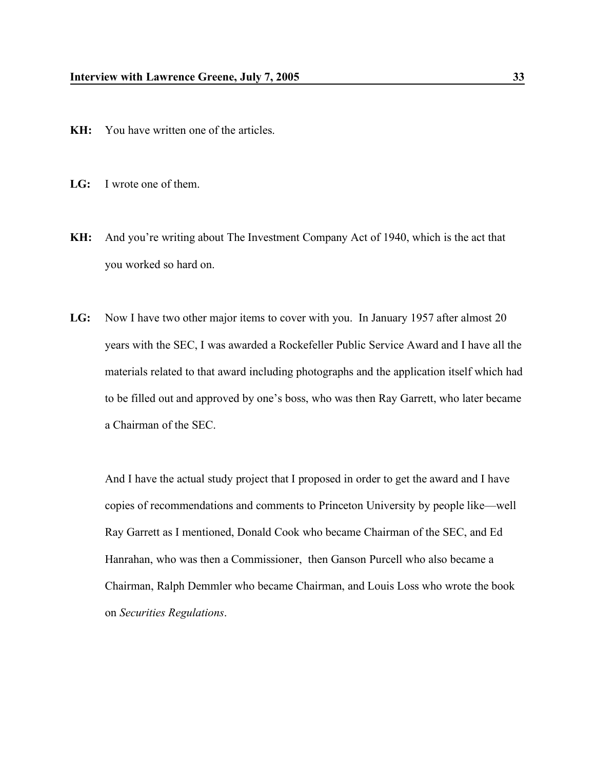- **KH:** You have written one of the articles.
- **LG:** I wrote one of them.
- **KH:** And you're writing about The Investment Company Act of 1940, which is the act that you worked so hard on.
- **LG:** Now I have two other major items to cover with you. In January 1957 after almost 20 years with the SEC, I was awarded a Rockefeller Public Service Award and I have all the materials related to that award including photographs and the application itself which had to be filled out and approved by one's boss, who was then Ray Garrett, who later became a Chairman of the SEC.

And I have the actual study project that I proposed in order to get the award and I have copies of recommendations and comments to Princeton University by people like—well Ray Garrett as I mentioned, Donald Cook who became Chairman of the SEC, and Ed Hanrahan, who was then a Commissioner, then Ganson Purcell who also became a Chairman, Ralph Demmler who became Chairman, and Louis Loss who wrote the book on *Securities Regulations*.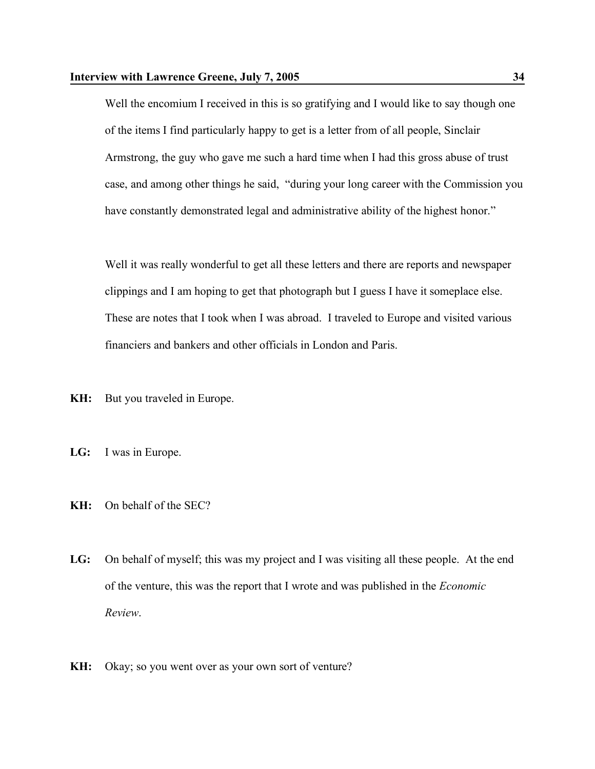Well the encomium I received in this is so gratifying and I would like to say though one of the items I find particularly happy to get is a letter from of all people, Sinclair Armstrong, the guy who gave me such a hard time when I had this gross abuse of trust case, and among other things he said, "during your long career with the Commission you have constantly demonstrated legal and administrative ability of the highest honor."

Well it was really wonderful to get all these letters and there are reports and newspaper clippings and I am hoping to get that photograph but I guess I have it someplace else. These are notes that I took when I was abroad. I traveled to Europe and visited various financiers and bankers and other officials in London and Paris.

**KH:** But you traveled in Europe.

- **LG:** I was in Europe.
- **KH:** On behalf of the SEC?
- **LG:** On behalf of myself; this was my project and I was visiting all these people. At the end of the venture, this was the report that I wrote and was published in the *Economic Review*.
- **KH:** Okay; so you went over as your own sort of venture?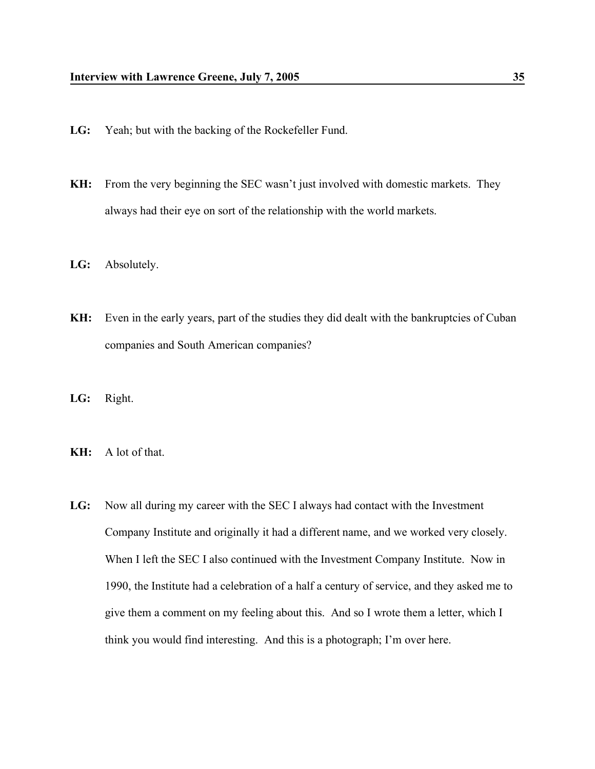- **LG:** Yeah; but with the backing of the Rockefeller Fund.
- **KH:** From the very beginning the SEC wasn't just involved with domestic markets. They always had their eye on sort of the relationship with the world markets.
- **LG:** Absolutely.
- **KH:** Even in the early years, part of the studies they did dealt with the bankruptcies of Cuban companies and South American companies?
- **LG:** Right.
- **KH:** A lot of that.
- **LG:** Now all during my career with the SEC I always had contact with the Investment Company Institute and originally it had a different name, and we worked very closely. When I left the SEC I also continued with the Investment Company Institute. Now in 1990, the Institute had a celebration of a half a century of service, and they asked me to give them a comment on my feeling about this. And so I wrote them a letter, which I think you would find interesting. And this is a photograph; I'm over here.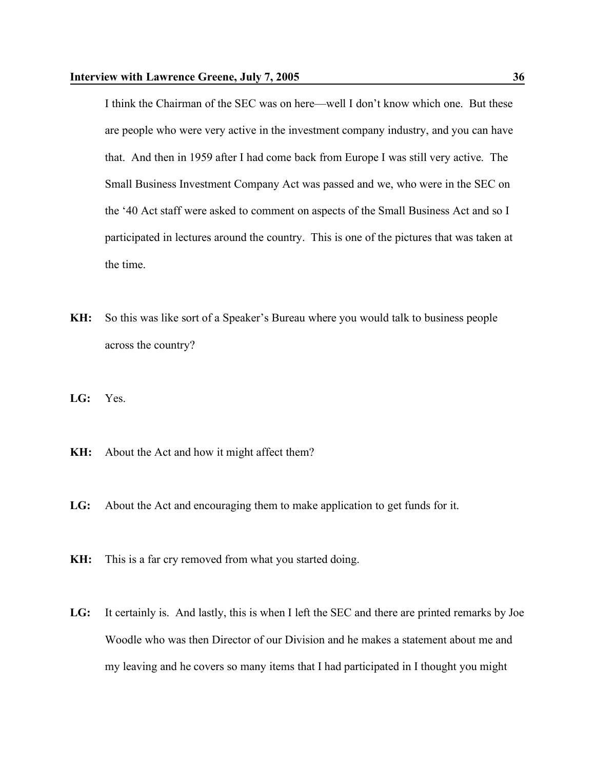I think the Chairman of the SEC was on here—well I don't know which one. But these are people who were very active in the investment company industry, and you can have that. And then in 1959 after I had come back from Europe I was still very active. The Small Business Investment Company Act was passed and we, who were in the SEC on the '40 Act staff were asked to comment on aspects of the Small Business Act and so I participated in lectures around the country. This is one of the pictures that was taken at the time.

- **KH:** So this was like sort of a Speaker's Bureau where you would talk to business people across the country?
- **LG:** Yes.
- **KH:** About the Act and how it might affect them?
- **LG:** About the Act and encouraging them to make application to get funds for it.
- **KH:** This is a far cry removed from what you started doing.
- **LG:** It certainly is. And lastly, this is when I left the SEC and there are printed remarks by Joe Woodle who was then Director of our Division and he makes a statement about me and my leaving and he covers so many items that I had participated in I thought you might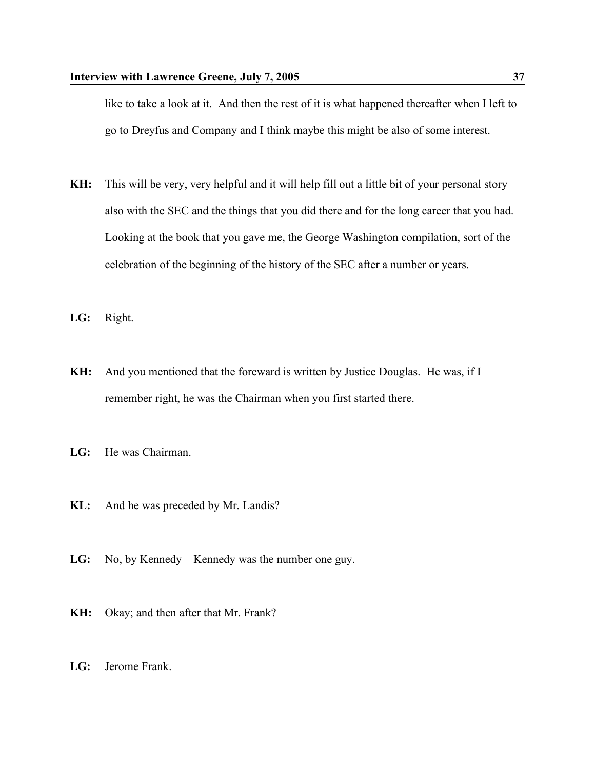like to take a look at it. And then the rest of it is what happened thereafter when I left to go to Dreyfus and Company and I think maybe this might be also of some interest.

- **KH:** This will be very, very helpful and it will help fill out a little bit of your personal story also with the SEC and the things that you did there and for the long career that you had. Looking at the book that you gave me, the George Washington compilation, sort of the celebration of the beginning of the history of the SEC after a number or years.
- **LG:** Right.
- **KH:** And you mentioned that the foreward is written by Justice Douglas. He was, if I remember right, he was the Chairman when you first started there.
- **LG:** He was Chairman.
- **KL:** And he was preceded by Mr. Landis?
- LG: No, by Kennedy—Kennedy was the number one guy.
- **KH:** Okay; and then after that Mr. Frank?
- **LG:** Jerome Frank.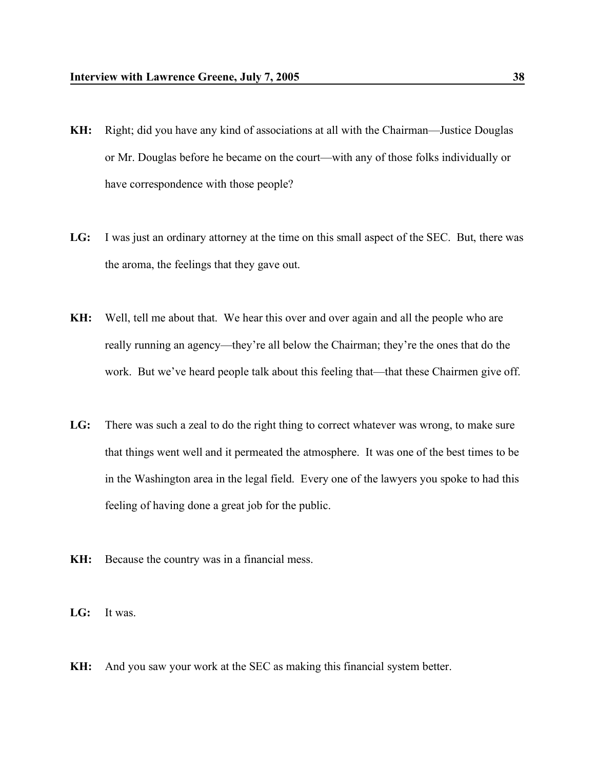- **KH:** Right; did you have any kind of associations at all with the Chairman—Justice Douglas or Mr. Douglas before he became on the court—with any of those folks individually or have correspondence with those people?
- **LG:** I was just an ordinary attorney at the time on this small aspect of the SEC. But, there was the aroma, the feelings that they gave out.
- **KH:** Well, tell me about that. We hear this over and over again and all the people who are really running an agency—they're all below the Chairman; they're the ones that do the work. But we've heard people talk about this feeling that—that these Chairmen give off.
- **LG:** There was such a zeal to do the right thing to correct whatever was wrong, to make sure that things went well and it permeated the atmosphere. It was one of the best times to be in the Washington area in the legal field. Every one of the lawyers you spoke to had this feeling of having done a great job for the public.
- **KH:** Because the country was in a financial mess.
- **LG:** It was.
- **KH:** And you saw your work at the SEC as making this financial system better.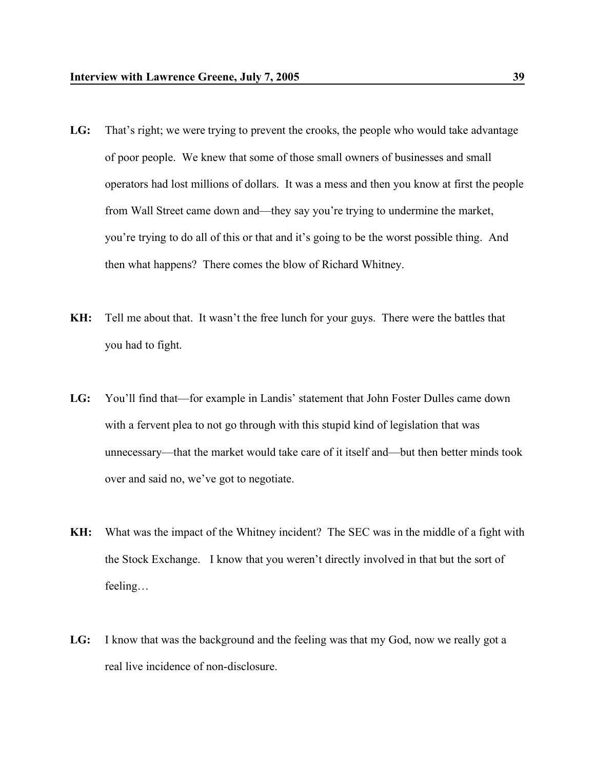- LG: That's right; we were trying to prevent the crooks, the people who would take advantage of poor people. We knew that some of those small owners of businesses and small operators had lost millions of dollars. It was a mess and then you know at first the people from Wall Street came down and—they say you're trying to undermine the market, you're trying to do all of this or that and it's going to be the worst possible thing. And then what happens? There comes the blow of Richard Whitney.
- **KH:** Tell me about that. It wasn't the free lunch for your guys. There were the battles that you had to fight.
- **LG:** You'll find that—for example in Landis' statement that John Foster Dulles came down with a fervent plea to not go through with this stupid kind of legislation that was unnecessary—that the market would take care of it itself and—but then better minds took over and said no, we've got to negotiate.
- **KH:** What was the impact of the Whitney incident? The SEC was in the middle of a fight with the Stock Exchange. I know that you weren't directly involved in that but the sort of feeling…
- **LG:** I know that was the background and the feeling was that my God, now we really got a real live incidence of non-disclosure.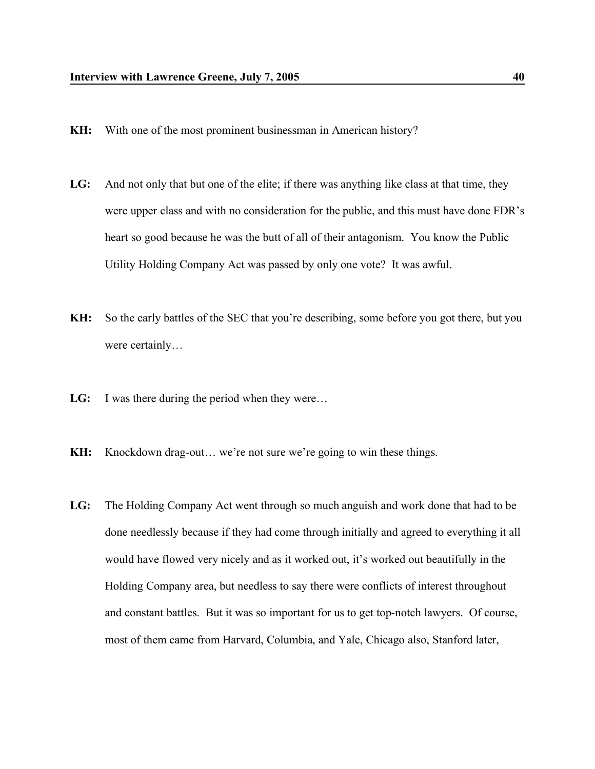- **KH:** With one of the most prominent businessman in American history?
- **LG:** And not only that but one of the elite; if there was anything like class at that time, they were upper class and with no consideration for the public, and this must have done FDR's heart so good because he was the butt of all of their antagonism. You know the Public Utility Holding Company Act was passed by only one vote? It was awful.
- **KH:** So the early battles of the SEC that you're describing, some before you got there, but you were certainly…
- **LG:** I was there during the period when they were...
- **KH:** Knockdown drag-out… we're not sure we're going to win these things.
- **LG:** The Holding Company Act went through so much anguish and work done that had to be done needlessly because if they had come through initially and agreed to everything it all would have flowed very nicely and as it worked out, it's worked out beautifully in the Holding Company area, but needless to say there were conflicts of interest throughout and constant battles. But it was so important for us to get top-notch lawyers. Of course, most of them came from Harvard, Columbia, and Yale, Chicago also, Stanford later,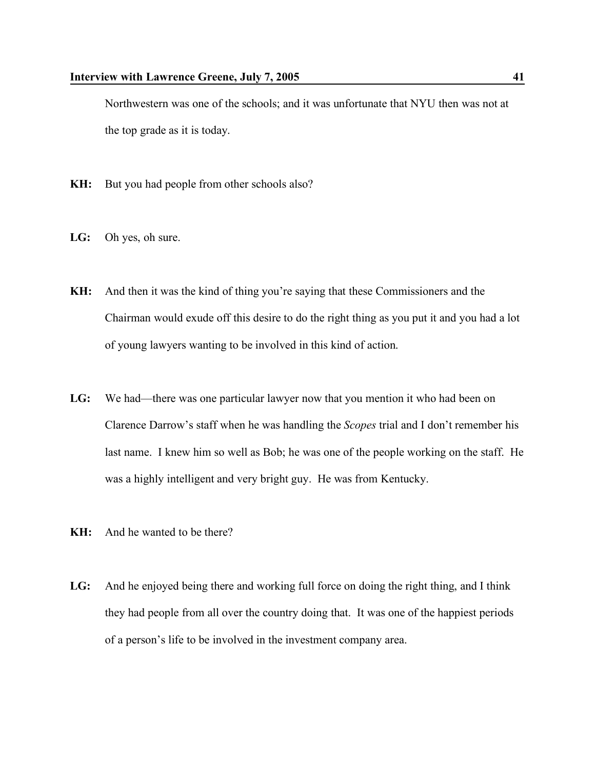Northwestern was one of the schools; and it was unfortunate that NYU then was not at the top grade as it is today.

- **KH:** But you had people from other schools also?
- **LG:** Oh yes, oh sure.
- **KH:** And then it was the kind of thing you're saying that these Commissioners and the Chairman would exude off this desire to do the right thing as you put it and you had a lot of young lawyers wanting to be involved in this kind of action.
- **LG:** We had—there was one particular lawyer now that you mention it who had been on Clarence Darrow's staff when he was handling the *Scopes* trial and I don't remember his last name. I knew him so well as Bob; he was one of the people working on the staff. He was a highly intelligent and very bright guy. He was from Kentucky.
- **KH:** And he wanted to be there?
- **LG:** And he enjoyed being there and working full force on doing the right thing, and I think they had people from all over the country doing that. It was one of the happiest periods of a person's life to be involved in the investment company area.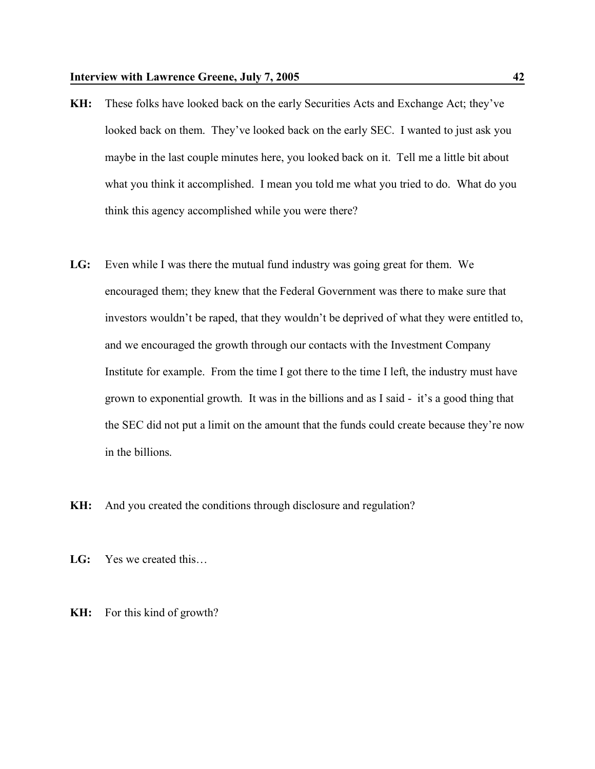- **KH:** These folks have looked back on the early Securities Acts and Exchange Act; they've looked back on them. They've looked back on the early SEC. I wanted to just ask you maybe in the last couple minutes here, you looked back on it. Tell me a little bit about what you think it accomplished. I mean you told me what you tried to do. What do you think this agency accomplished while you were there?
- **LG:** Even while I was there the mutual fund industry was going great for them. We encouraged them; they knew that the Federal Government was there to make sure that investors wouldn't be raped, that they wouldn't be deprived of what they were entitled to, and we encouraged the growth through our contacts with the Investment Company Institute for example. From the time I got there to the time I left, the industry must have grown to exponential growth. It was in the billions and as I said - it's a good thing that the SEC did not put a limit on the amount that the funds could create because they're now in the billions.
- **KH:** And you created the conditions through disclosure and regulation?
- **LG:** Yes we created this…
- **KH:** For this kind of growth?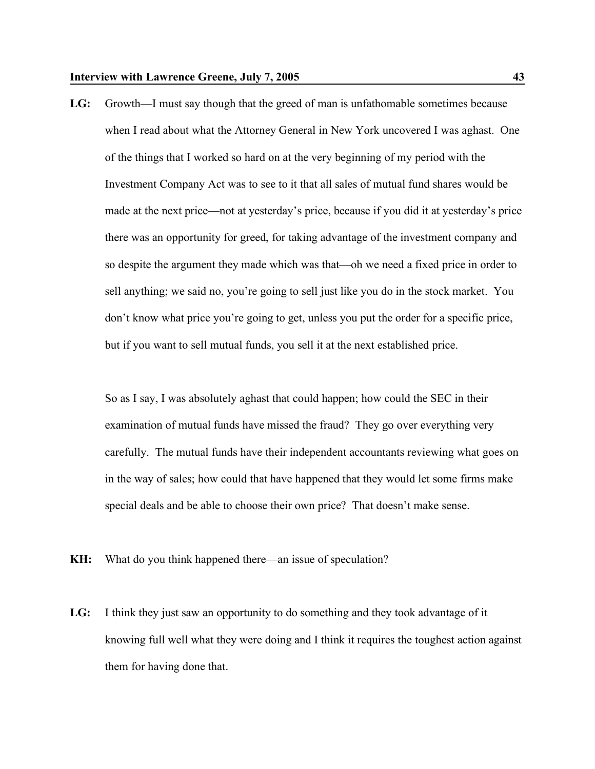**LG:** Growth—I must say though that the greed of man is unfathomable sometimes because when I read about what the Attorney General in New York uncovered I was aghast. One of the things that I worked so hard on at the very beginning of my period with the Investment Company Act was to see to it that all sales of mutual fund shares would be made at the next price—not at yesterday's price, because if you did it at yesterday's price there was an opportunity for greed, for taking advantage of the investment company and so despite the argument they made which was that—oh we need a fixed price in order to sell anything; we said no, you're going to sell just like you do in the stock market. You don't know what price you're going to get, unless you put the order for a specific price, but if you want to sell mutual funds, you sell it at the next established price.

So as I say, I was absolutely aghast that could happen; how could the SEC in their examination of mutual funds have missed the fraud? They go over everything very carefully. The mutual funds have their independent accountants reviewing what goes on in the way of sales; how could that have happened that they would let some firms make special deals and be able to choose their own price? That doesn't make sense.

- **KH:** What do you think happened there—an issue of speculation?
- **LG:** I think they just saw an opportunity to do something and they took advantage of it knowing full well what they were doing and I think it requires the toughest action against them for having done that.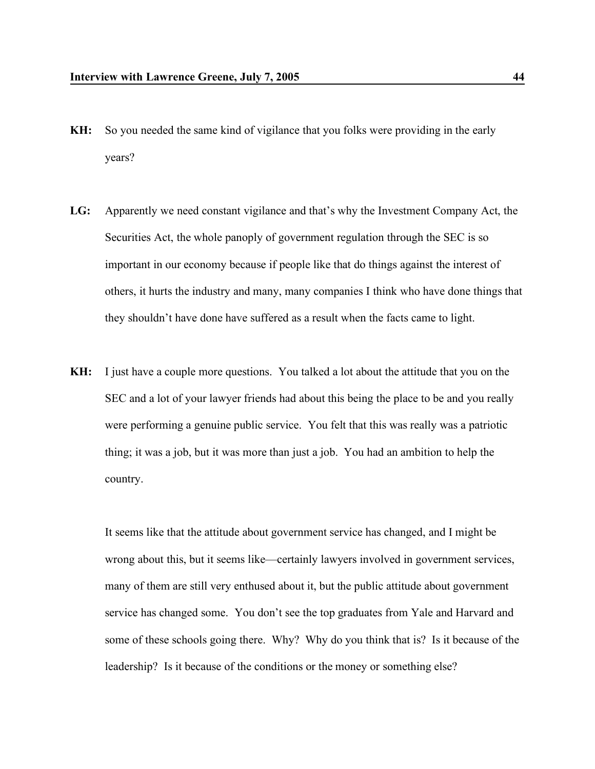- **KH:** So you needed the same kind of vigilance that you folks were providing in the early years?
- **LG:** Apparently we need constant vigilance and that's why the Investment Company Act, the Securities Act, the whole panoply of government regulation through the SEC is so important in our economy because if people like that do things against the interest of others, it hurts the industry and many, many companies I think who have done things that they shouldn't have done have suffered as a result when the facts came to light.
- **KH:** I just have a couple more questions. You talked a lot about the attitude that you on the SEC and a lot of your lawyer friends had about this being the place to be and you really were performing a genuine public service. You felt that this was really was a patriotic thing; it was a job, but it was more than just a job. You had an ambition to help the country.

It seems like that the attitude about government service has changed, and I might be wrong about this, but it seems like—certainly lawyers involved in government services, many of them are still very enthused about it, but the public attitude about government service has changed some. You don't see the top graduates from Yale and Harvard and some of these schools going there. Why? Why do you think that is? Is it because of the leadership? Is it because of the conditions or the money or something else?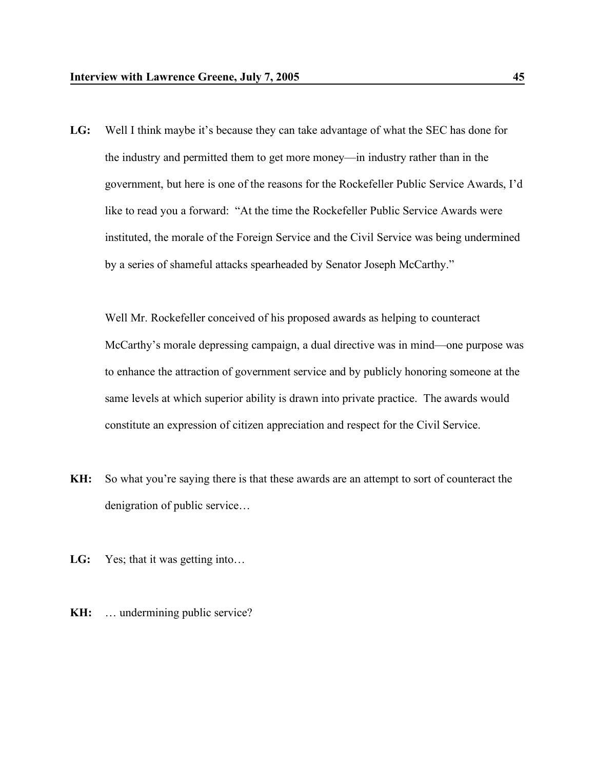**LG:** Well I think maybe it's because they can take advantage of what the SEC has done for the industry and permitted them to get more money—in industry rather than in the government, but here is one of the reasons for the Rockefeller Public Service Awards, I'd like to read you a forward: "At the time the Rockefeller Public Service Awards were instituted, the morale of the Foreign Service and the Civil Service was being undermined by a series of shameful attacks spearheaded by Senator Joseph McCarthy."

Well Mr. Rockefeller conceived of his proposed awards as helping to counteract McCarthy's morale depressing campaign, a dual directive was in mind—one purpose was to enhance the attraction of government service and by publicly honoring someone at the same levels at which superior ability is drawn into private practice. The awards would constitute an expression of citizen appreciation and respect for the Civil Service.

- **KH:** So what you're saying there is that these awards are an attempt to sort of counteract the denigration of public service…
- LG: Yes; that it was getting into...
- **KH:** ... undermining public service?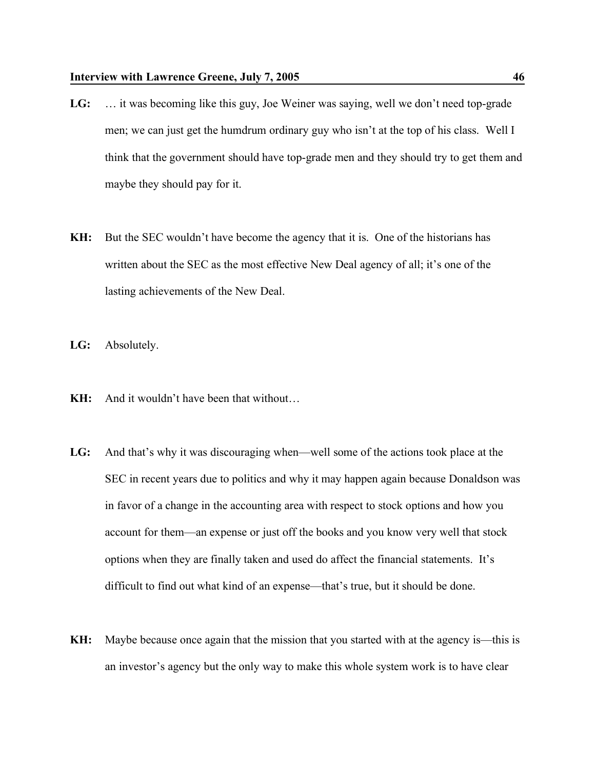- **LG:** … it was becoming like this guy, Joe Weiner was saying, well we don't need top-grade men; we can just get the humdrum ordinary guy who isn't at the top of his class. Well I think that the government should have top-grade men and they should try to get them and maybe they should pay for it.
- **KH:** But the SEC wouldn't have become the agency that it is. One of the historians has written about the SEC as the most effective New Deal agency of all; it's one of the lasting achievements of the New Deal.
- **LG:** Absolutely.
- **KH:** And it wouldn't have been that without…
- **LG:** And that's why it was discouraging when—well some of the actions took place at the SEC in recent years due to politics and why it may happen again because Donaldson was in favor of a change in the accounting area with respect to stock options and how you account for them—an expense or just off the books and you know very well that stock options when they are finally taken and used do affect the financial statements. It's difficult to find out what kind of an expense—that's true, but it should be done.
- **KH:** Maybe because once again that the mission that you started with at the agency is—this is an investor's agency but the only way to make this whole system work is to have clear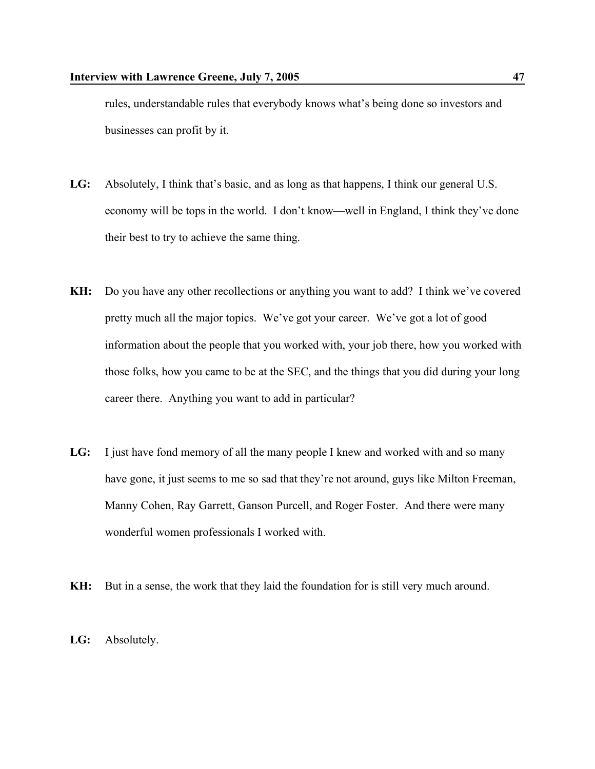rules, understandable rules that everybody knows what's being done so investors and businesses can profit by it.

- **LG:** Absolutely, I think that's basic, and as long as that happens, I think our general U.S. economy will be tops in the world. I don't know—well in England, I think they've done their best to try to achieve the same thing.
- **KH:** Do you have any other recollections or anything you want to add? I think we've covered pretty much all the major topics. We've got your career. We've got a lot of good information about the people that you worked with, your job there, how you worked with those folks, how you came to be at the SEC, and the things that you did during your long career there. Anything you want to add in particular?
- **LG:** I just have fond memory of all the many people I knew and worked with and so many have gone, it just seems to me so sad that they're not around, guys like Milton Freeman, Manny Cohen, Ray Garrett, Ganson Purcell, and Roger Foster. And there were many wonderful women professionals I worked with.
- **KH:** But in a sense, the work that they laid the foundation for is still very much around.
- **LG:** Absolutely.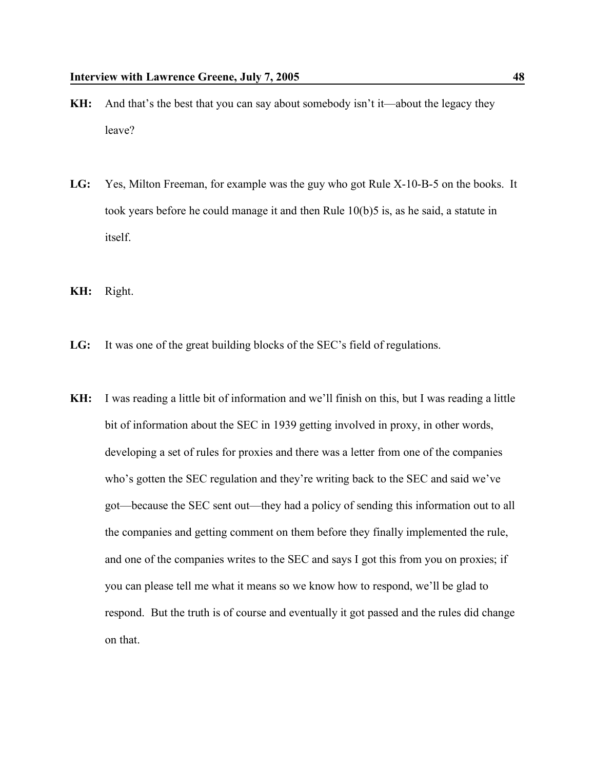- **KH:** And that's the best that you can say about somebody isn't it—about the legacy they leave?
- **LG:** Yes, Milton Freeman, for example was the guy who got Rule X-10-B-5 on the books. It took years before he could manage it and then Rule 10(b)5 is, as he said, a statute in itself.
- **KH:** Right.
- **LG:** It was one of the great building blocks of the SEC's field of regulations.
- **KH:** I was reading a little bit of information and we'll finish on this, but I was reading a little bit of information about the SEC in 1939 getting involved in proxy, in other words, developing a set of rules for proxies and there was a letter from one of the companies who's gotten the SEC regulation and they're writing back to the SEC and said we've got—because the SEC sent out—they had a policy of sending this information out to all the companies and getting comment on them before they finally implemented the rule, and one of the companies writes to the SEC and says I got this from you on proxies; if you can please tell me what it means so we know how to respond, we'll be glad to respond. But the truth is of course and eventually it got passed and the rules did change on that.